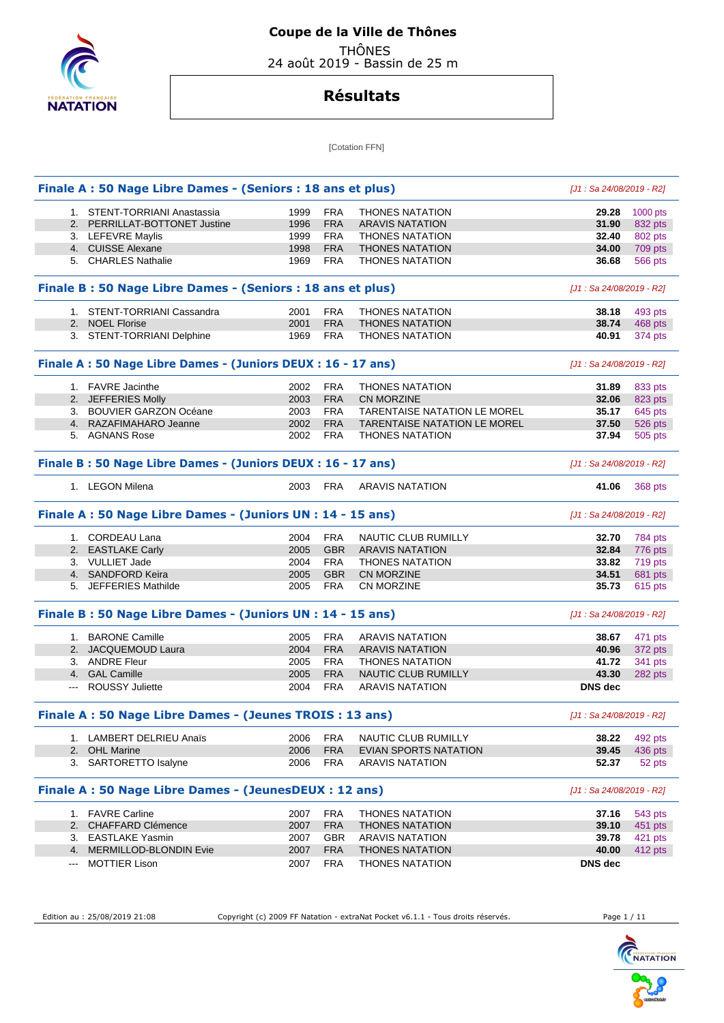

# **Coupe de la Ville de Thônes**

 THÔNES 24 août 2019 - Bassin de 25 m

### **Résultats**

[Cotation FFN]

|    | Finale A : 50 Nage Libre Dames - (Seniors : 18 ans et plus) |      |            |                                     | [J1 : Sa 24/08/2019 - R2] |                    |
|----|-------------------------------------------------------------|------|------------|-------------------------------------|---------------------------|--------------------|
|    | 1. STENT-TORRIANI Anastassia                                | 1999 | <b>FRA</b> | <b>THONES NATATION</b>              | 29.28                     | 1000 pts           |
|    | 2. PERRILLAT-BOTTONET Justine                               | 1996 | <b>FRA</b> | <b>ARAVIS NATATION</b>              | 31.90                     | 832 pts            |
|    | 3. LEFEVRE Maylis                                           | 1999 | <b>FRA</b> | <b>THONES NATATION</b>              | 32.40                     | 802 pts            |
|    | 4. CUISSE Alexane                                           | 1998 | <b>FRA</b> | <b>THONES NATATION</b>              | 34.00                     | 709 pts            |
|    | 5. CHARLES Nathalie                                         | 1969 | <b>FRA</b> | <b>THONES NATATION</b>              | 36.68                     | 566 pts            |
|    | Finale B: 50 Nage Libre Dames - (Seniors : 18 ans et plus)  |      |            |                                     | [J1: Sa 24/08/2019 - R2]  |                    |
|    | 1. STENT-TORRIANI Cassandra                                 | 2001 | <b>FRA</b> | <b>THONES NATATION</b>              | 38.18                     | 493 pts            |
| 2. | <b>NOEL Florise</b>                                         | 2001 | <b>FRA</b> | <b>THONES NATATION</b>              | 38.74                     | 468 pts            |
|    | 3. STENT-TORRIANI Delphine                                  | 1969 | <b>FRA</b> | <b>THONES NATATION</b>              | 40.91                     | 374 pts            |
|    | Finale A: 50 Nage Libre Dames - (Juniors DEUX: 16 - 17 ans) |      |            |                                     | [J1 : Sa 24/08/2019 - R2] |                    |
|    | 1. FAVRE Jacinthe                                           | 2002 | <b>FRA</b> | <b>THONES NATATION</b>              | 31.89                     | 833 pts            |
|    | 2. JEFFERIES Molly                                          | 2003 | <b>FRA</b> | CN MORZINE                          | 32.06                     | 823 pts            |
|    | 3. BOUVIER GARZON Océane                                    | 2003 | <b>FRA</b> | <b>TARENTAISE NATATION LE MOREL</b> | 35.17                     | 645 pts            |
|    | 4. RAZAFIMAHARO Jeanne                                      | 2002 | <b>FRA</b> | <b>TARENTAISE NATATION LE MOREL</b> | 37.50                     | 526 pts            |
|    | 5. AGNANS Rose                                              | 2002 | <b>FRA</b> | <b>THONES NATATION</b>              | 37.94                     | 505 pts            |
|    | Finale B: 50 Nage Libre Dames - (Juniors DEUX: 16 - 17 ans) |      |            |                                     | [J1 : Sa 24/08/2019 - R2] |                    |
|    | 1. LEGON Milena                                             | 2003 | <b>FRA</b> | <b>ARAVIS NATATION</b>              | 41.06                     | 368 pts            |
|    | Finale A : 50 Nage Libre Dames - (Juniors UN : 14 - 15 ans) |      |            |                                     | [J1 : Sa 24/08/2019 - R2] |                    |
|    | 1. CORDEAU Lana                                             | 2004 | <b>FRA</b> | NAUTIC CLUB RUMILLY                 | 32.70                     | 784 pts            |
|    | 2. EASTLAKE Carly                                           | 2005 | <b>GBR</b> | <b>ARAVIS NATATION</b>              | 32.84                     | 776 pts            |
|    | 3. VULLIET Jade                                             | 2004 | <b>FRA</b> | <b>THONES NATATION</b>              | 33.82                     | 719 pts            |
|    | 4. SANDFORD Keira                                           | 2005 | <b>GBR</b> | <b>CN MORZINE</b>                   | 34.51                     | 681 pts            |
|    | 5. JEFFERIES Mathilde                                       | 2005 | <b>FRA</b> | CN MORZINE                          | 35.73                     | 615 pts            |
|    | Finale B: 50 Nage Libre Dames - (Juniors UN : 14 - 15 ans)  |      |            |                                     | [J1: Sa 24/08/2019 - R2]  |                    |
|    | 1. BARONE Camille                                           | 2005 | <b>FRA</b> | <b>ARAVIS NATATION</b>              | 38.67                     | 471 pts            |
|    | 2. JACQUEMOUD Laura                                         | 2004 | <b>FRA</b> | <b>ARAVIS NATATION</b>              | 40.96                     | 372 pts            |
|    | 3. ANDRE Fleur                                              | 2005 | <b>FRA</b> | <b>THONES NATATION</b>              | 41.72                     | 341 pts            |
|    | 4. GAL Camille                                              | 2005 | <b>FRA</b> | <b>NAUTIC CLUB RUMILLY</b>          | 43.30                     | 282 pts            |
|    | <b>ROUSSY Juliette</b>                                      | 2004 | <b>FRA</b> | <b>ARAVIS NATATION</b>              | DNS dec                   |                    |
|    | Finale A : 50 Nage Libre Dames - (Jeunes TROIS : 13 ans)    |      |            |                                     | [J1: Sa 24/08/2019 - R2]  |                    |
|    | 1. LAMBERT DELRIEU Anaïs                                    | 2006 | <b>FRA</b> | NAUTIC CLUB RUMILLY                 | 38.22                     | 492 pts            |
|    | 2. OHL Marine                                               | 2006 | <b>FRA</b> | EVIAN SPORTS NATATION               | 39.45                     | 436 pts            |
|    | 3. SARTORETTO Isalyne                                       | 2006 | <b>FRA</b> | <b>ARAVIS NATATION</b>              | 52.37                     | 52 pts             |
|    | Finale A : 50 Nage Libre Dames - (JeunesDEUX : 12 ans)      |      |            |                                     | [J1: Sa 24/08/2019 - R2]  |                    |
|    | 1. FAVRE Carline                                            | 2007 | <b>FRA</b> | <b>THONES NATATION</b>              | 37.16                     | 543 pts            |
|    | 2. CHAFFARD Clémence                                        | 2007 | <b>FRA</b> | <b>THONES NATATION</b>              | 39.10                     | 451 pts            |
|    |                                                             |      |            |                                     |                           |                    |
|    | 3. EASTLAKE Yasmin                                          | 2007 | <b>GBR</b> | <b>ARAVIS NATATION</b>              | 39.78                     |                    |
|    | 4. MERMILLOD-BLONDIN Evie                                   | 2007 | <b>FRA</b> | <b>THONES NATATION</b>              | 40.00                     | 421 pts<br>412 pts |

Edition au : 25/08/2019 21:08 Copyright (c) 2009 FF Natation - extraNat Pocket v6.1.1 - Tous droits réservés. Page 1 / 11

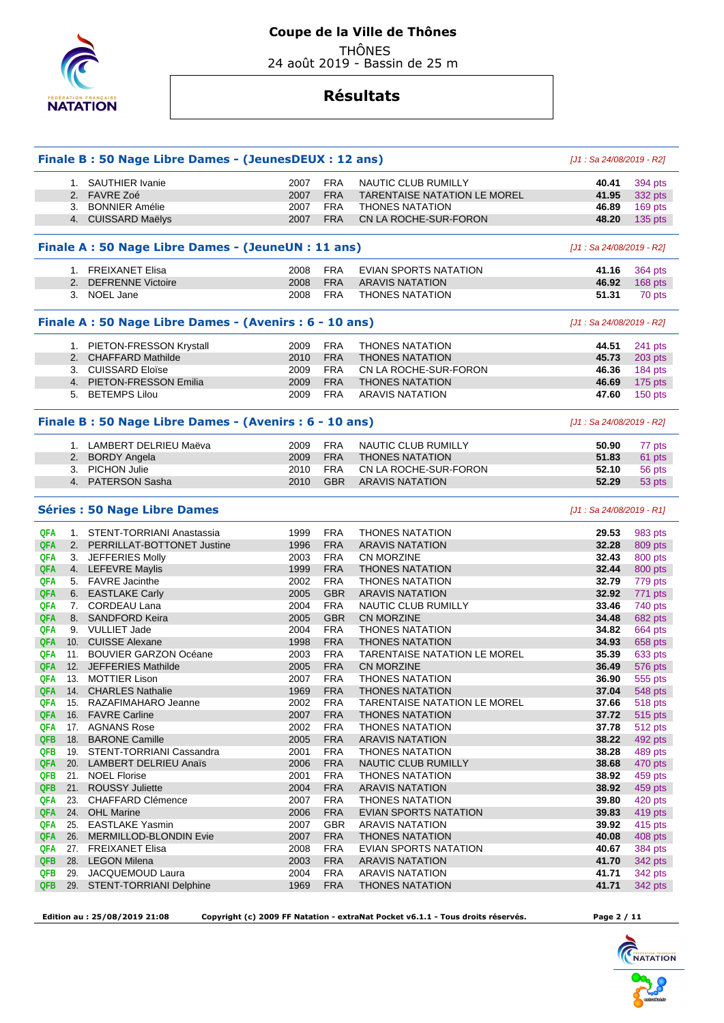

24 août 2019 - Bassin de 25 m

### **Résultats**

|                   |     | Finale B: 50 Nage Libre Dames - (JeunesDEUX: 12 ans)    |              |                          |                                                  | [J1 : Sa 24/08/2019 - R2]  |                    |
|-------------------|-----|---------------------------------------------------------|--------------|--------------------------|--------------------------------------------------|----------------------------|--------------------|
|                   |     | 1. SAUTHIER Ivanie                                      | 2007         | <b>FRA</b>               | NAUTIC CLUB RUMILLY                              | 40.41                      | 394 pts            |
|                   |     | 2. FAVRE Zoé                                            | 2007         | <b>FRA</b>               | <b>TARENTAISE NATATION LE MOREL</b>              | 41.95                      | 332 pts            |
|                   |     | 3. BONNIER Amélie                                       | 2007         | FRA                      | <b>THONES NATATION</b>                           | 46.89                      | 169 pts            |
|                   |     | 4. CUISSARD Maëlys                                      | 2007         | <b>FRA</b>               | CN LA ROCHE-SUR-FORON                            | 48.20                      | 135 pts            |
|                   |     | Finale A : 50 Nage Libre Dames - (JeuneUN : 11 ans)     |              |                          |                                                  | [J1 : Sa 24/08/2019 - R2]  |                    |
|                   |     | 1. FREIXANET Elisa                                      | 2008         | <b>FRA</b>               | EVIAN SPORTS NATATION                            | 41.16                      | 364 pts            |
|                   |     | 2. DEFRENNE Victoire                                    | 2008         | <b>FRA</b>               | <b>ARAVIS NATATION</b>                           | 46.92                      | 168 pts            |
|                   |     | 3. NOEL Jane                                            | 2008         | <b>FRA</b>               | <b>THONES NATATION</b>                           | 51.31                      | 70 pts             |
|                   |     | Finale A : 50 Nage Libre Dames - (Avenirs : 6 - 10 ans) |              |                          |                                                  | [J1 : Sa 24/08/2019 - R2]  |                    |
|                   |     | 1. PIETON-FRESSON Krystall                              | 2009         | <b>FRA</b>               | <b>THONES NATATION</b>                           | 44.51                      | 241 pts            |
|                   |     | 2. CHAFFARD Mathilde                                    | 2010         | <b>FRA</b>               | <b>THONES NATATION</b>                           | 45.73                      | 203 pts            |
|                   |     | 3. CUISSARD Eloïse                                      | 2009         | <b>FRA</b>               | CN LA ROCHE-SUR-FORON                            | 46.36                      | 184 pts            |
|                   |     | 4. PIETON-FRESSON Emilia                                | 2009         | <b>FRA</b>               | <b>THONES NATATION</b>                           | 46.69                      | 175 pts            |
|                   |     | 5. BETEMPS Lilou                                        | 2009         | FRA                      | <b>ARAVIS NATATION</b>                           | 47.60                      | 150 pts            |
|                   |     | Finale B: 50 Nage Libre Dames - (Avenirs: 6 - 10 ans)   |              |                          |                                                  | [J1 : Sa 24/08/2019 - R2]  |                    |
|                   |     | 1. LAMBERT DELRIEU Maëva                                | 2009         | <b>FRA</b>               | NAUTIC CLUB RUMILLY                              | 50.90                      | 77 pts             |
|                   |     | 2. BORDY Angela                                         | 2009         | <b>FRA</b>               | <b>THONES NATATION</b>                           | 51.83                      | 61 pts             |
|                   |     | 3. PICHON Julie                                         | 2010         | <b>FRA</b>               | CN LA ROCHE-SUR-FORON                            | 52.10                      | 56 pts             |
|                   |     | 4. PATERSON Sasha                                       | 2010         | <b>GBR</b>               | <b>ARAVIS NATATION</b>                           | 52.29                      | 53 pts             |
|                   |     | <b>Séries : 50 Nage Libre Dames</b>                     |              |                          |                                                  | $[J1: Sa 24/08/2019 - R1]$ |                    |
| <b>QFA</b>        |     | 1. STENT-TORRIANI Anastassia                            | 1999         | <b>FRA</b>               | <b>THONES NATATION</b>                           | 29.53                      | 983 pts            |
| QFA               |     | 2. PERRILLAT-BOTTONET Justine                           | 1996         | <b>FRA</b>               | <b>ARAVIS NATATION</b>                           | 32.28                      | 809 pts            |
| QFA               |     | 3. JEFFERIES Molly                                      | 2003         | <b>FRA</b>               | <b>CN MORZINE</b>                                | 32.43                      | 800 pts            |
| QFA               |     | 4. LEFEVRE Maylis                                       | 1999         | <b>FRA</b>               | <b>THONES NATATION</b>                           | 32.44                      | 800 pts            |
| <b>QFA</b>        |     | 5. FAVRE Jacinthe                                       | 2002         | <b>FRA</b>               | <b>THONES NATATION</b>                           | 32.79                      | 779 pts            |
| QFA               |     | 6. EASTLAKE Carly                                       | 2005         | <b>GBR</b>               | <b>ARAVIS NATATION</b>                           | 32.92                      | 771 pts            |
| QFA               |     | 7. CORDEAU Lana                                         | 2004         | <b>FRA</b>               | NAUTIC CLUB RUMILLY                              | 33.46                      | 740 pts            |
| QFA               |     | 8. SANDFORD Keira                                       | 2005         | <b>GBR</b>               | <b>CN MORZINE</b>                                | 34.48                      | 682 pts            |
| QFA               |     | 9. VULLIET Jade                                         | 2004         | <b>FRA</b>               | <b>THONES NATATION</b>                           | 34.82                      | 664 pts            |
| QFA               |     | 10. CUISSE Alexane                                      | 1998         | <b>FRA</b>               | <b>THONES NATATION</b>                           | 34.93                      | 658 pts            |
| <b>QFA</b>        |     | 11. BOUVIER GARZON Océane                               | 2003         | <b>FRA</b>               | <b>TARENTAISE NATATION LE MOREL</b>              | 35.39                      | 633 pts            |
| QFA               |     | 12. JEFFERIES Mathilde                                  | 2005         | <b>FRA</b>               | CN MORZINE                                       | 36.49                      | 576 pts            |
| QFA               |     | 13. MOTTIER Lison                                       | 2007         | <b>FRA</b>               | <b>THONES NATATION</b>                           | 36.90                      | 555 pts            |
| QFA               |     | 14. CHARLES Nathalie                                    | 1969         | <b>FRA</b>               | <b>THONES NATATION</b>                           | 37.04                      | 548 pts            |
| QFA               |     | 15. RAZAFIMAHARO Jeanne                                 | 2002         | <b>FRA</b>               | <b>TARENTAISE NATATION LE MOREL</b>              | 37.66                      | 518 pts            |
| <b>QFA</b>        |     | 16. FAVRE Carline                                       | 2007         | <b>FRA</b>               | <b>THONES NATATION</b>                           | 37.72                      | 515 pts            |
| QFA               |     | 17. AGNANS Rose                                         | 2002         | <b>FRA</b>               | <b>THONES NATATION</b>                           | 37.78                      | 512 pts            |
| QFB               | 18. | <b>BARONE Camille</b>                                   | 2005         | <b>FRA</b>               | ARAVIS NATATION                                  | 38.22                      | 492 pts            |
| QFB               |     | 19. STENT-TORRIANI Cassandra                            | 2001         | <b>FRA</b>               | <b>THONES NATATION</b>                           | 38.28                      | 489 pts            |
| QFA               |     | 20. LAMBERT DELRIEU Anaïs                               | 2006         | <b>FRA</b>               | NAUTIC CLUB RUMILLY                              | 38.68                      | 470 pts            |
| QFB               |     | 21. NOEL Florise<br>21. ROUSSY Juliette                 | 2001         | <b>FRA</b>               | <b>THONES NATATION</b>                           | 38.92                      | 459 pts            |
| <b>QFB</b><br>QFA |     | <b>CHAFFARD Clémence</b>                                | 2004<br>2007 | <b>FRA</b><br><b>FRA</b> | <b>ARAVIS NATATION</b><br><b>THONES NATATION</b> | 38.92<br>39.80             | 459 pts            |
|                   | 23. |                                                         | 2006         | <b>FRA</b>               |                                                  |                            | 420 pts            |
| <b>QFA</b><br>QFA |     | 24. OHL Marine<br>25. EASTLAKE Yasmin                   |              | <b>GBR</b>               | EVIAN SPORTS NATATION<br><b>ARAVIS NATATION</b>  | 39.83                      | 419 pts            |
|                   |     |                                                         | 2007         |                          |                                                  | 39.92                      | 415 pts            |
| QFA<br>QFA        |     | 26. MERMILLOD-BLONDIN Evie                              | 2007         | <b>FRA</b><br><b>FRA</b> | <b>THONES NATATION</b>                           | 40.08                      | 408 pts            |
| <b>QFB</b>        |     | 27. FREIXANET Elisa<br>28. LEGON Milena                 | 2008<br>2003 | <b>FRA</b>               | EVIAN SPORTS NATATION<br><b>ARAVIS NATATION</b>  | 40.67<br>41.70             | 384 pts            |
| QFB               |     | 29. JACQUEMOUD Laura                                    | 2004         | <b>FRA</b>               | <b>ARAVIS NATATION</b>                           | 41.71                      | 342 pts            |
| QFB               |     | 29. STENT-TORRIANI Delphine                             | 1969         | <b>FRA</b>               | <b>THONES NATATION</b>                           | 41.71                      | 342 pts<br>342 pts |
|                   |     |                                                         |              |                          |                                                  |                            |                    |

 **Edition au : 25/08/2019 21:08 Copyright (c) 2009 FF Natation - extraNat Pocket v6.1.1 - Tous droits réservés. Page 2 / 11** 

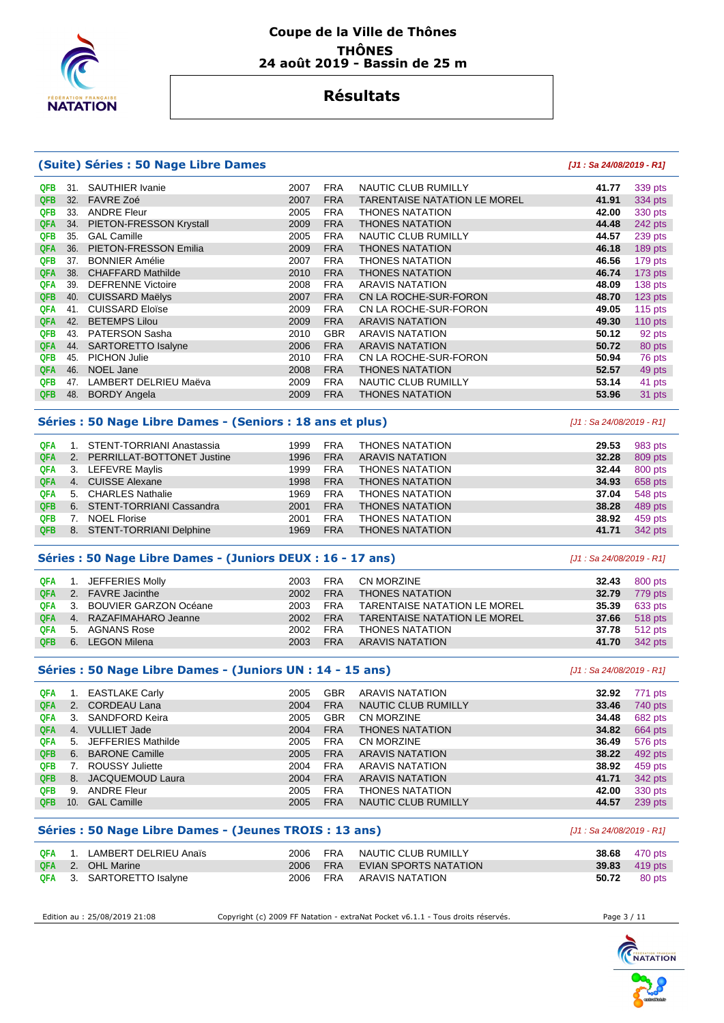

### **Résultats**

#### **(Suite) Séries : 50 Nage Libre Dames [J1 : Sa 24/08/2019 - R1] QFB** 31. SAUTHIER Ivanie 2007 FRA NAUTIC CLUB RUMILLY **41.77** 339 pts  **QFB** 32. FAVRE Zoé 2007 FRA TARENTAISE NATATION LE MOREL **41.91** 334 pts  **QFB** 33. ANDRE Fleur 2005 FRA THONES NATATION **42.00** 330 pts  **QFA** 34. PIETON-FRESSON Krystall 2009 FRA THONES NATATION **44.48** 242 pts  **QFB** 35. GAL Camille 2005 FRA NAUTIC CLUB RUMILLY **44.57** 239 pts  **QFA** 36. PIETON-FRESSON Emilia 2009 FRA THONES NATATION **46.18** 189 pts  **QFB** 37. BONNIER Amélie 2007 FRA THONES NATATION **46.56** 179 pts  **QFA** 38. CHAFFARD Mathilde 2010 FRA THONES NATATION **46.74** 173 pts  **QFA** 39. DEFRENNE Victoire 2008 FRA ARAVIS NATATION **48.09** 138 pts  **QFB** 40. CUISSARD Maëlys 2007 FRA CN LA ROCHE-SUR-FORON **48.70** 123 pts  **QFA** 41. CUISSARD Eloïse 2009 FRA CN LA ROCHE-SUR-FORON **49.05** 115 pts  **QFA** 42. BETEMPS Lilou 2009 FRA ARAVIS NATATION **49.30** 110 pts  **QFB** 43. PATERSON Sasha 2010 GBR ARAVIS NATATION **50.12** 92 pts  **QFA** 44. SARTORETTO Isalyne 2006 FRA ARAVIS NATATION **50.72** 80 pts  **QFB** 45. PICHON Julie 2010 FRA CN LA ROCHE-SUR-FORON **50.94** 76 pts **QFA 46. NOEL Jane 2008 FRA THONES NATATION 52.57 49 pts QFB** 47. LAMBERT DELRIEU Maëva 2009 FRA NAUTIC CLUB RUMILLY **53.14** 41 pts  **QFB** 48. BORDY Angela 2009 FRA THONES NATATION **53.96** 31 pts **Séries : 50 Nage Libre Dames - (Seniors : 18 ans et plus)** [J1 : Sa 24/08/2019 - R1]  **QFA** 1. STENT-TORRIANI Anastassia 1999 FRA THONES NATATION **29.53** 983 pts  **QFA** 2. PERRILLAT-BOTTONET Justine 1996 FRA ARAVIS NATATION **32.28** 809 pts **QFA** 3. LEFEVRE Maylis **1999 FRA THONES NATATION 32.44** 800 pts  **QFA** 4. CUISSE Alexane 1998 FRA THONES NATATION **34.93** 658 pts  **QFA** 5. CHARLES Nathalie 1969 FRA THONES NATATION **37.04** 548 pts  **QFB** 6. STENT-TORRIANI Cassandra 2001 FRA THONES NATATION **38.28** 489 pts  **QFB** 7. NOEL Florise 2001 FRA THONES NATATION **38.92** 459 pts  **QFB** 8. STENT-TORRIANI Delphine 1969 FRA THONES NATATION **41.71** 342 pts **Séries : 50 Nage Libre Dames - (Juniors DEUX : 16 - 17 ans)** [J1 : Sa 24/08/2019 - R1]  **QFA** 1. JEFFERIES Molly 2003 FRA CN MORZINE **32.43** 800 pts  **QFA** 2. FAVRE Jacinthe 2002 FRA THONES NATATION **32.79** 779 pts  **QFA** 3. BOUVIER GARZON Océane 2003 FRA TARENTAISE NATATION LE MOREL **35.39** 633 pts  **QFA** 4. RAZAFIMAHARO Jeanne 2002 FRA TARENTAISE NATATION LE MOREL **37.66** 518 pts **QFA** 5. AGNANS Rose 2002 FRA THONES NATATION **37.78** 512 pts  **QFB** 6. LEGON Milena 2003 FRA ARAVIS NATATION **41.70** 342 pts **Séries : 50 Nage Libre Dames - (Juniors UN : 14 - 15 ans)** [J1 : Sa 24/08/2019 - R1]  **QFA** 1. EASTLAKE Carly 2005 GBR ARAVIS NATATION **32.92** 771 pts  **QFA** 2. CORDEAU Lana 2004 FRA NAUTIC CLUB RUMILLY **33.46** 740 pts  **QFA** 3. SANDFORD Keira 2005 GBR CN MORZINE **34.48** 682 pts  **QFA** 4. VULLIET Jade 2004 FRA THONES NATATION **34.82** 664 pts  **QFA** 5. JEFFERIES Mathilde 2005 FRA CN MORZINE **36.49** 576 pts  **QFB** 6. BARONE Camille 2005 FRA ARAVIS NATATION **38.22** 492 pts  **QFB** 7. ROUSSY Juliette 2004 FRA ARAVIS NATATION **38.92** 459 pts  **QFB** 8. JACQUEMOUD Laura 2004 FRA ARAVIS NATATION **41.71** 342 pts  **QFB** 9. ANDRE Fleur 2005 FRA THONES NATATION **42.00** 330 pts  **QFB** 10. GAL Camille 2005 FRA NAUTIC CLUB RUMILLY **44.57** 239 pts **Séries : 50 Nage Libre Dames - (Jeunes TROIS : 13 ans)** [J1 : Sa 24/08/2019 - R1]  **QFA** 1. LAMBERT DELRIEU Anaïs 2006 FRA NAUTIC CLUB RUMILLY **38.68** 470 pts **QFA 2. OHL Marine 2006 FRA EVIAN SPORTS NATATION 39.83 419 pts QFA** 3. SARTORETTO Isalyne 2006 FRA ARAVIS NATATION **50.72** 80 pts

Edition au : 25/08/2019 21:08 Copyright (c) 2009 FF Natation - extraNat Pocket v6.1.1 - Tous droits réservés. Page 3 / 11

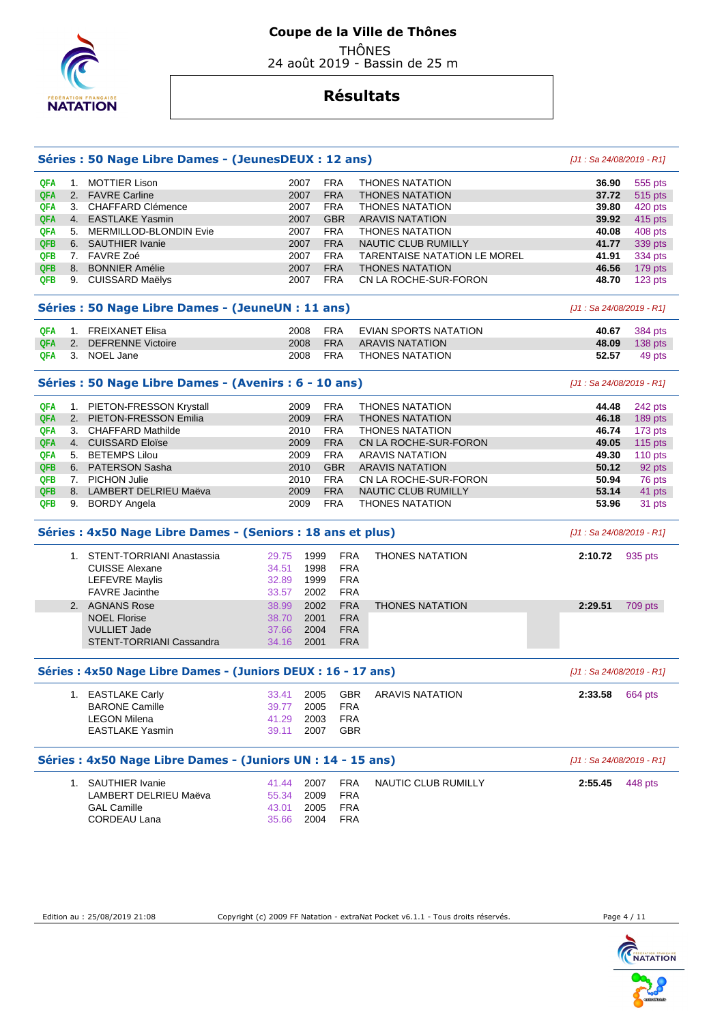

 THÔNES 24 août 2019 - Bassin de 25 m

|            |    | Séries : 50 Nage Libre Dames - (JeunesDEUX : 12 ans)          |               |            |                                     | [J1 : Sa 24/08/2019 - R1]  |           |
|------------|----|---------------------------------------------------------------|---------------|------------|-------------------------------------|----------------------------|-----------|
| <b>QFA</b> |    | 1. MOTTIER Lison                                              | 2007          | <b>FRA</b> | <b>THONES NATATION</b>              | 36.90                      | 555 pts   |
| <b>QFA</b> |    | 2. FAVRE Carline                                              | 2007          | <b>FRA</b> | <b>THONES NATATION</b>              | 37.72                      | 515 pts   |
| <b>QFA</b> |    | 3. CHAFFARD Clémence                                          | 2007          | <b>FRA</b> | <b>THONES NATATION</b>              | 39.80                      | 420 pts   |
| <b>QFA</b> |    | 4. EASTLAKE Yasmin                                            | 2007          | <b>GBR</b> | <b>ARAVIS NATATION</b>              | 39.92                      | 415 pts   |
| <b>QFA</b> |    | 5. MERMILLOD-BLONDIN Evie                                     | 2007          | <b>FRA</b> | <b>THONES NATATION</b>              | 40.08                      | 408 pts   |
| QFB        |    | 6. SAUTHIER Ivanie                                            | 2007          | <b>FRA</b> | NAUTIC CLUB RUMILLY                 | 41.77                      | 339 pts   |
| <b>QFB</b> |    | 7. FAVRE Zoé                                                  | 2007          | <b>FRA</b> | <b>TARENTAISE NATATION LE MOREL</b> | 41.91                      | 334 pts   |
| <b>QFB</b> |    | 8. BONNIER Amélie                                             | 2007          | <b>FRA</b> | <b>THONES NATATION</b>              | 46.56                      | 179 pts   |
| <b>QFB</b> |    | 9. CUISSARD Maëlys                                            | 2007          | <b>FRA</b> | CN LA ROCHE-SUR-FORON               | 48.70                      | 123 pts   |
|            |    | Séries : 50 Nage Libre Dames - (JeuneUN : 11 ans)             |               |            |                                     | [J1 : Sa 24/08/2019 - R1]  |           |
| <b>QFA</b> |    | 1. FREIXANET Elisa                                            | 2008          | <b>FRA</b> | EVIAN SPORTS NATATION               | 40.67                      | 384 pts   |
| <b>QFA</b> | 2. | <b>DEFRENNE Victoire</b>                                      | 2008          | <b>FRA</b> | <b>ARAVIS NATATION</b>              | 48.09                      | $138$ pts |
| <b>QFA</b> |    | 3. NOEL Jane                                                  | 2008          | <b>FRA</b> | <b>THONES NATATION</b>              | 52.57                      | 49 pts    |
|            |    |                                                               |               |            |                                     |                            |           |
|            |    | Séries : 50 Nage Libre Dames - (Avenirs : 6 - 10 ans)         |               |            |                                     | $[J1: Sa 24/08/2019 - R1]$ |           |
| <b>QFA</b> |    | 1. PIETON-FRESSON Krystall                                    | 2009          | <b>FRA</b> | <b>THONES NATATION</b>              | 44.48                      | 242 pts   |
| <b>QFA</b> |    | 2. PIETON-FRESSON Emilia                                      | 2009          | <b>FRA</b> | <b>THONES NATATION</b>              | 46.18                      | 189 pts   |
| <b>QFA</b> |    | 3. CHAFFARD Mathilde                                          | 2010          | <b>FRA</b> | <b>THONES NATATION</b>              | 46.74                      | 173 pts   |
| <b>QFA</b> |    | 4. CUISSARD Eloïse                                            | 2009          | <b>FRA</b> | CN LA ROCHE-SUR-FORON               | 49.05                      | 115 $pts$ |
| <b>QFA</b> |    | 5. BETEMPS Lilou                                              | 2009          | <b>FRA</b> | <b>ARAVIS NATATION</b>              | 49.30                      | 110 pts   |
| <b>QFB</b> |    | 6. PATERSON Sasha                                             | 2010          | <b>GBR</b> | <b>ARAVIS NATATION</b>              | 50.12                      | 92 pts    |
| <b>QFB</b> |    | 7. PICHON Julie                                               | 2010          | <b>FRA</b> | CN LA ROCHE-SUR-FORON               | 50.94                      | 76 pts    |
| QFB        |    | 8. LAMBERT DELRIEU Maëva                                      | 2009          | <b>FRA</b> | NAUTIC CLUB RUMILLY                 | 53.14                      | 41 pts    |
| <b>QFB</b> |    | 9. BORDY Angela                                               | 2009          | <b>FRA</b> | <b>THONES NATATION</b>              | 53.96                      | 31 pts    |
|            |    | Séries : 4x50 Nage Libre Dames - (Seniors : 18 ans et plus)   |               |            |                                     | [J1 : Sa 24/08/2019 - R1]  |           |
|            |    | 1. STENT-TORRIANI Anastassia                                  | 29.75<br>1999 | <b>FRA</b> | <b>THONES NATATION</b>              | 2:10.72                    | 935 pts   |
|            |    | <b>CUISSE Alexane</b>                                         | 34.51<br>1998 | <b>FRA</b> |                                     |                            |           |
|            |    | <b>LEFEVRE Maylis</b>                                         | 32.89<br>1999 | <b>FRA</b> |                                     |                            |           |
|            |    | <b>FAVRE</b> Jacinthe                                         | 33.57<br>2002 | <b>FRA</b> |                                     |                            |           |
|            |    | 2. AGNANS Rose                                                | 38.99<br>2002 | <b>FRA</b> | <b>THONES NATATION</b>              | 2:29.51                    | 709 pts   |
|            |    | <b>NOEL Florise</b>                                           | 38.70<br>2001 | <b>FRA</b> |                                     |                            |           |
|            |    | <b>VULLIET Jade</b>                                           | 2004<br>37.66 | <b>FRA</b> |                                     |                            |           |
|            |    | <b>STENT-TORRIANI Cassandra</b>                               | 34.16<br>2001 | <b>FRA</b> |                                     |                            |           |
|            |    | Séries : 4x50 Nage Libre Dames - (Juniors DEUX : 16 - 17 ans) |               |            |                                     | [J1: Sa 24/08/2019 - R1]   |           |
|            |    | 1. EASTLAKE Carly                                             | 33.41<br>2005 | GBR        | <b>ARAVIS NATATION</b>              | 2:33.58                    | 664 pts   |
|            |    | <b>BARONE Camille</b>                                         | 39.77<br>2005 | <b>FRA</b> |                                     |                            |           |
|            |    | <b>LEGON Milena</b>                                           | 41.29<br>2003 | <b>FRA</b> |                                     |                            |           |
|            |    | <b>EASTLAKE Yasmin</b>                                        | 39.11<br>2007 | <b>GBR</b> |                                     |                            |           |
|            |    | Séries : 4x50 Nage Libre Dames - (Juniors UN : 14 - 15 ans)   |               |            |                                     | [J1 : Sa 24/08/2019 - R1]  |           |
|            |    | 1. SAUTHIER Ivanie                                            | 41.44<br>2007 | <b>FRA</b> | NAUTIC CLUB RUMILLY                 | 2:55.45                    | 448 pts   |
|            |    | LAMBERT DELRIEU Maëva                                         | 2009<br>55.34 | <b>FRA</b> |                                     |                            |           |
|            |    | <b>GAL Camille</b>                                            | 43.01<br>2005 | <b>FRA</b> |                                     |                            |           |
|            |    | <b>CORDEAU Lana</b>                                           | 35.66<br>2004 | <b>FRA</b> |                                     |                            |           |
|            |    |                                                               |               |            |                                     |                            |           |
|            |    |                                                               |               |            |                                     |                            |           |
|            |    |                                                               |               |            |                                     |                            |           |

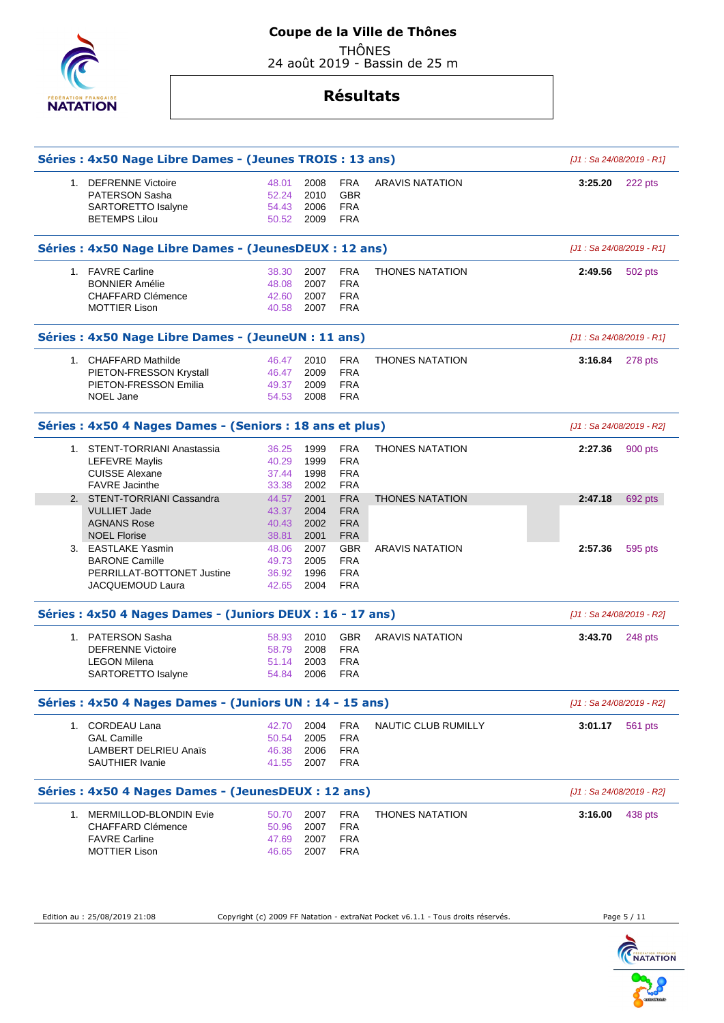

# **Coupe de la Ville de Thônes**

 THÔNES 24 août 2019 - Bassin de 25 m

# **Résultats**

|    | Séries : 4x50 Nage Libre Dames - (Jeunes TROIS : 13 ans)                             |                                  |                              |                                                      |                        |         | [J1: Sa 24/08/2019 - R1]  |
|----|--------------------------------------------------------------------------------------|----------------------------------|------------------------------|------------------------------------------------------|------------------------|---------|---------------------------|
|    | 1. DEFRENNE Victoire<br>PATERSON Sasha<br>SARTORETTO Isalyne<br><b>BETEMPS Lilou</b> | 48.01<br>52.24<br>54.43<br>50.52 | 2008<br>2010<br>2006<br>2009 | <b>FRA</b><br><b>GBR</b><br><b>FRA</b><br><b>FRA</b> | <b>ARAVIS NATATION</b> | 3:25.20 | 222 pts                   |
|    | Séries : 4x50 Nage Libre Dames - (JeunesDEUX : 12 ans)                               |                                  |                              |                                                      |                        |         | [J1: Sa 24/08/2019 - R1]  |
|    | 1. FAVRE Carline                                                                     | 38.30                            | 2007                         | <b>FRA</b>                                           | <b>THONES NATATION</b> | 2:49.56 | 502 pts                   |
|    | <b>BONNIER Amélie</b>                                                                | 48.08                            | 2007                         | <b>FRA</b>                                           |                        |         |                           |
|    | CHAFFARD Clémence                                                                    | 42.60                            | 2007                         | <b>FRA</b>                                           |                        |         |                           |
|    | <b>MOTTIER Lison</b>                                                                 | 40.58                            | 2007                         | <b>FRA</b>                                           |                        |         |                           |
|    | Séries : 4x50 Nage Libre Dames - (JeuneUN : 11 ans)                                  |                                  |                              |                                                      |                        |         | [J1: Sa 24/08/2019 - R1]  |
|    | 1. CHAFFARD Mathilde                                                                 | 46.47                            | 2010                         | <b>FRA</b>                                           | <b>THONES NATATION</b> | 3:16.84 | 278 pts                   |
|    | PIETON-FRESSON Krystall                                                              | 46.47                            | 2009                         | <b>FRA</b>                                           |                        |         |                           |
|    | PIETON-FRESSON Emilia<br><b>NOEL Jane</b>                                            | 49.37<br>54.53                   | 2009<br>2008                 | <b>FRA</b><br><b>FRA</b>                             |                        |         |                           |
|    |                                                                                      |                                  |                              |                                                      |                        |         |                           |
|    | Séries : 4x50 4 Nages Dames - (Seniors : 18 ans et plus)                             |                                  |                              |                                                      |                        |         | [J1: Sa 24/08/2019 - R2]  |
|    | 1. STENT-TORRIANI Anastassia                                                         | 36.25                            | 1999                         | <b>FRA</b>                                           | <b>THONES NATATION</b> | 2:27.36 | 900 pts                   |
|    | <b>LEFEVRE Maylis</b>                                                                | 40.29                            | 1999                         | <b>FRA</b>                                           |                        |         |                           |
|    | <b>CUISSE Alexane</b><br><b>FAVRE</b> Jacinthe                                       | 37.44<br>33.38                   | 1998<br>2002                 | <b>FRA</b><br><b>FRA</b>                             |                        |         |                           |
|    | 2. STENT-TORRIANI Cassandra                                                          | 44.57                            | 2001                         | <b>FRA</b>                                           | <b>THONES NATATION</b> | 2:47.18 | 692 pts                   |
|    | <b>VULLIET Jade</b>                                                                  | 43.37                            | 2004                         | <b>FRA</b>                                           |                        |         |                           |
|    | <b>AGNANS Rose</b>                                                                   | 40.43                            | 2002                         | <b>FRA</b>                                           |                        |         |                           |
|    | <b>NOEL Florise</b>                                                                  | 38.81                            | 2001                         | <b>FRA</b>                                           |                        |         |                           |
|    | 3. EASTLAKE Yasmin                                                                   | 48.06                            | 2007                         | <b>GBR</b>                                           | <b>ARAVIS NATATION</b> | 2:57.36 | 595 pts                   |
|    | <b>BARONE Camille</b><br>PERRILLAT-BOTTONET Justine                                  | 49.73<br>36.92                   | 2005<br>1996                 | <b>FRA</b><br><b>FRA</b>                             |                        |         |                           |
|    | JACQUEMOUD Laura                                                                     | 42.65                            | 2004                         | <b>FRA</b>                                           |                        |         |                           |
|    | Séries : 4x50 4 Nages Dames - (Juniors DEUX : 16 - 17 ans)                           |                                  |                              |                                                      |                        |         | [J1: Sa 24/08/2019 - R2]  |
|    |                                                                                      |                                  |                              |                                                      |                        |         |                           |
|    | 1. PATERSON Sasha<br><b>DEFRENNE Victoire</b>                                        | 58.93<br>58.79                   | 2010<br>2008                 | <b>GBR</b><br><b>FRA</b>                             | <b>ARAVIS NATATION</b> | 3:43.70 | 248 pts                   |
|    | <b>LEGON Milena</b>                                                                  | 51.14                            | 2003                         | <b>FRA</b>                                           |                        |         |                           |
|    | SARTORETTO Isalyne                                                                   | 54.84                            | 2006                         | <b>FRA</b>                                           |                        |         |                           |
|    | Séries : 4x50 4 Nages Dames - (Juniors UN : 14 - 15 ans)                             |                                  |                              |                                                      |                        |         | [J1 : Sa 24/08/2019 - R2] |
|    | 1. CORDEAU Lana                                                                      | 42.70                            | 2004                         | <b>FRA</b>                                           | NAUTIC CLUB RUMILLY    | 3:01.17 | 561 pts                   |
|    | <b>GAL Camille</b>                                                                   | 50.54                            | 2005                         | <b>FRA</b>                                           |                        |         |                           |
|    | <b>LAMBERT DELRIEU Anaïs</b>                                                         | 46.38                            | 2006                         | <b>FRA</b>                                           |                        |         |                           |
|    | <b>SAUTHIER Ivanie</b>                                                               | 41.55                            | 2007                         | <b>FRA</b>                                           |                        |         |                           |
|    | Séries : 4x50 4 Nages Dames - (JeunesDEUX : 12 ans)                                  |                                  |                              |                                                      |                        |         | [J1 : Sa 24/08/2019 - R2] |
| 1. | MERMILLOD-BLONDIN Evie                                                               | 50.70                            | 2007                         | <b>FRA</b>                                           | <b>THONES NATATION</b> | 3:16.00 | 438 pts                   |
|    | <b>CHAFFARD Clémence</b>                                                             | 50.96                            | 2007                         | <b>FRA</b>                                           |                        |         |                           |
|    | <b>FAVRE Carline</b>                                                                 | 47.69                            | 2007                         | <b>FRA</b>                                           |                        |         |                           |
|    | <b>MOTTIER Lison</b>                                                                 | 46.65                            | 2007                         | <b>FRA</b>                                           |                        |         |                           |
|    |                                                                                      |                                  |                              |                                                      |                        |         |                           |

Edition au : 25/08/2019 21:08 Copyright (c) 2009 FF Natation - extraNat Pocket v6.1.1 - Tous droits réservés. Page 5 / 11

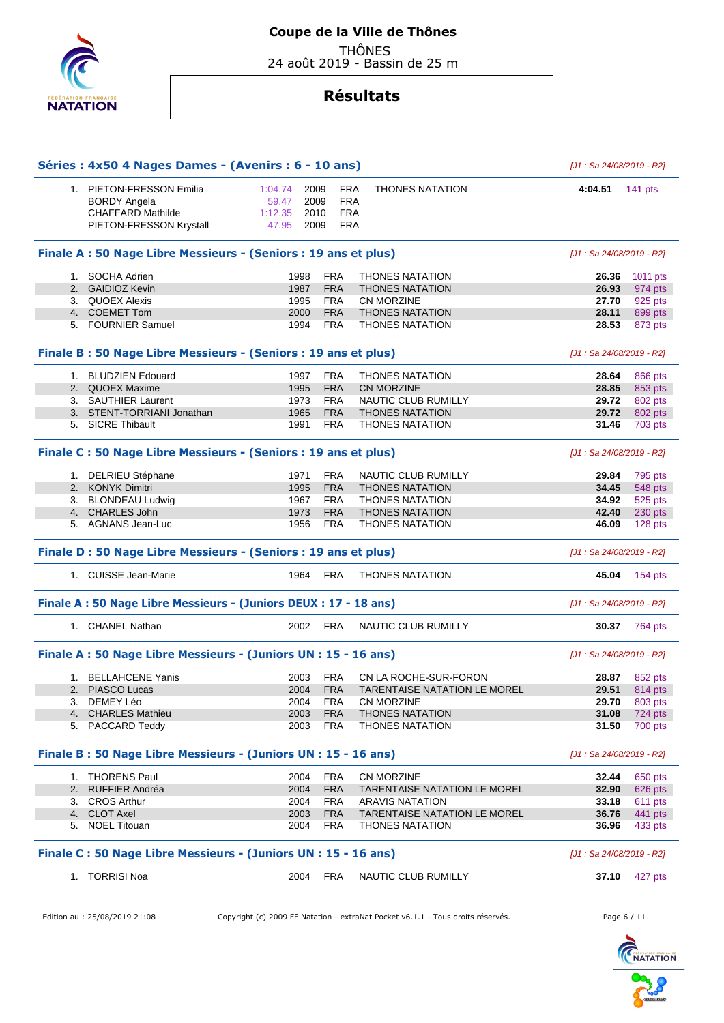

# **Coupe de la Ville de Thônes**

 THÔNES 24 août 2019 - Bassin de 25 m

|                                                                 | Séries: 4x50 4 Nages Dames - (Avenirs: 6 - 10 ans) |            |                                     | [J1 : Sa 24/08/2019 - R2] |                                                                                                            |
|-----------------------------------------------------------------|----------------------------------------------------|------------|-------------------------------------|---------------------------|------------------------------------------------------------------------------------------------------------|
| 1. PIETON-FRESSON Emilia                                        | 1:04.74<br>2009                                    | <b>FRA</b> | <b>THONES NATATION</b>              | 4:04.51                   | 141 $pts$                                                                                                  |
| <b>BORDY Angela</b>                                             | 59.47<br>2009                                      | <b>FRA</b> |                                     |                           |                                                                                                            |
| <b>CHAFFARD Mathilde</b>                                        | 1:12.35<br>2010                                    | <b>FRA</b> |                                     |                           |                                                                                                            |
| PIETON-FRESSON Krystall                                         | 47.95<br>2009                                      | <b>FRA</b> |                                     |                           |                                                                                                            |
| Finale A : 50 Nage Libre Messieurs - (Seniors : 19 ans et plus) |                                                    |            |                                     | [J1: Sa 24/08/2019 - R2]  |                                                                                                            |
| 1. SOCHA Adrien                                                 | 1998                                               | <b>FRA</b> | <b>THONES NATATION</b>              | 26.36                     | 1011 pts                                                                                                   |
| 2. GAIDIOZ Kevin                                                | 1987                                               | <b>FRA</b> | <b>THONES NATATION</b>              | 26.93                     | 974 pts                                                                                                    |
| 3. QUOEX Alexis                                                 | 1995                                               | <b>FRA</b> | <b>CN MORZINE</b>                   | 27.70                     | 925 pts                                                                                                    |
| 4. COEMET Tom                                                   | 2000                                               | <b>FRA</b> | <b>THONES NATATION</b>              | 28.11                     | 899 pts                                                                                                    |
| 5. FOURNIER Samuel                                              | 1994                                               | <b>FRA</b> | <b>THONES NATATION</b>              | 28.53                     | 873 pts                                                                                                    |
| Finale B: 50 Nage Libre Messieurs - (Seniors: 19 ans et plus)   |                                                    |            |                                     | [J1: Sa 24/08/2019 - R2]  |                                                                                                            |
| 1. BLUDZIEN Edouard                                             | 1997                                               | <b>FRA</b> | <b>THONES NATATION</b>              | 28.64                     | 866 pts                                                                                                    |
| 2. QUOEX Maxime                                                 | 1995                                               | <b>FRA</b> | <b>CN MORZINE</b>                   | 28.85                     | 853 pts                                                                                                    |
| 3. SAUTHIER Laurent                                             | 1973                                               | <b>FRA</b> | NAUTIC CLUB RUMILLY                 | 29.72                     | 802 pts                                                                                                    |
| 3. STENT-TORRIANI Jonathan                                      | 1965                                               | <b>FRA</b> | <b>THONES NATATION</b>              | 29.72                     | 802 pts                                                                                                    |
| 5. SICRE Thibault                                               | 1991                                               | <b>FRA</b> | <b>THONES NATATION</b>              | 31.46                     | 703 pts                                                                                                    |
| Finale C : 50 Nage Libre Messieurs - (Seniors : 19 ans et plus) |                                                    |            |                                     | [J1 : Sa 24/08/2019 - R2] |                                                                                                            |
| 1. DELRIEU Stéphane                                             | 1971                                               | <b>FRA</b> | <b>NAUTIC CLUB RUMILLY</b>          | 29.84                     | 795 pts                                                                                                    |
| 2. KONYK Dimitri                                                | 1995                                               | <b>FRA</b> | <b>THONES NATATION</b>              | 34.45                     | 548 pts                                                                                                    |
| 3. BLONDEAU Ludwig                                              | 1967                                               | <b>FRA</b> | <b>THONES NATATION</b>              | 34.92                     | 525 pts                                                                                                    |
| 4. CHARLES John                                                 | 1973                                               | <b>FRA</b> | <b>THONES NATATION</b>              | 42.40                     | 230 pts                                                                                                    |
| 5. AGNANS Jean-Luc                                              | 1956                                               | FRA        | <b>THONES NATATION</b>              | 46.09                     | 128 pts                                                                                                    |
|                                                                 |                                                    |            |                                     |                           |                                                                                                            |
| Finale D : 50 Nage Libre Messieurs - (Seniors : 19 ans et plus) |                                                    |            |                                     | [J1 : Sa 24/08/2019 - R2] |                                                                                                            |
| 1. CUISSE Jean-Marie                                            | 1964                                               | FRA        | <b>THONES NATATION</b>              | 45.04                     | 154 pts                                                                                                    |
| Finale A: 50 Nage Libre Messieurs - (Juniors DEUX: 17 - 18 ans) |                                                    |            |                                     | [J1: Sa 24/08/2019 - R2]  |                                                                                                            |
| 1. CHANEL Nathan                                                | 2002                                               | FRA        | NAUTIC CLUB RUMILLY                 | 30.37                     | 764 pts                                                                                                    |
| Finale A: 50 Nage Libre Messieurs - (Juniors UN : 15 - 16 ans)  |                                                    |            |                                     | [J1: Sa 24/08/2019 - R2]  |                                                                                                            |
| 1. BELLAHCENE Yanis                                             | 2003                                               | FRA        | CN LA ROCHE-SUR-FORON               | 28.87                     |                                                                                                            |
| 2. PIASCO Lucas                                                 | 2004                                               | <b>FRA</b> | <b>TARENTAISE NATATION LE MOREL</b> | 29.51                     |                                                                                                            |
| 3. DEMEY Léo                                                    | 2004                                               | <b>FRA</b> | CN MORZINE                          | 29.70                     |                                                                                                            |
| 4. CHARLES Mathieu                                              | 2003                                               | <b>FRA</b> | <b>THONES NATATION</b>              | 31.08                     |                                                                                                            |
| 5. PACCARD Teddy                                                | 2003                                               | FRA        | <b>THONES NATATION</b>              | 31.50                     |                                                                                                            |
| Finale B: 50 Nage Libre Messieurs - (Juniors UN : 15 - 16 ans)  |                                                    |            |                                     | [J1: Sa 24/08/2019 - R2]  |                                                                                                            |
| 1. THORENS Paul                                                 | 2004                                               | <b>FRA</b> | CN MORZINE                          | 32.44                     |                                                                                                            |
| 2. RUFFIER Andréa                                               | 2004                                               | <b>FRA</b> | <b>TARENTAISE NATATION LE MOREL</b> | 32.90                     |                                                                                                            |
| 3. CROS Arthur                                                  | 2004                                               | FRA        | <b>ARAVIS NATATION</b>              | 33.18                     |                                                                                                            |
| 4. CLOT Axel                                                    | 2003                                               | <b>FRA</b> | <b>TARENTAISE NATATION LE MOREL</b> | 36.76                     |                                                                                                            |
| 5. NOEL Titouan                                                 | 2004                                               | FRA        | <b>THONES NATATION</b>              | 36.96                     | 852 pts<br>814 pts<br>803 pts<br>724 pts<br>700 pts<br>650 pts<br>626 pts<br>611 pts<br>441 pts<br>433 pts |
| Finale C: 50 Nage Libre Messieurs - (Juniors UN: 15 - 16 ans)   |                                                    |            |                                     | [J1 : Sa 24/08/2019 - R2] |                                                                                                            |

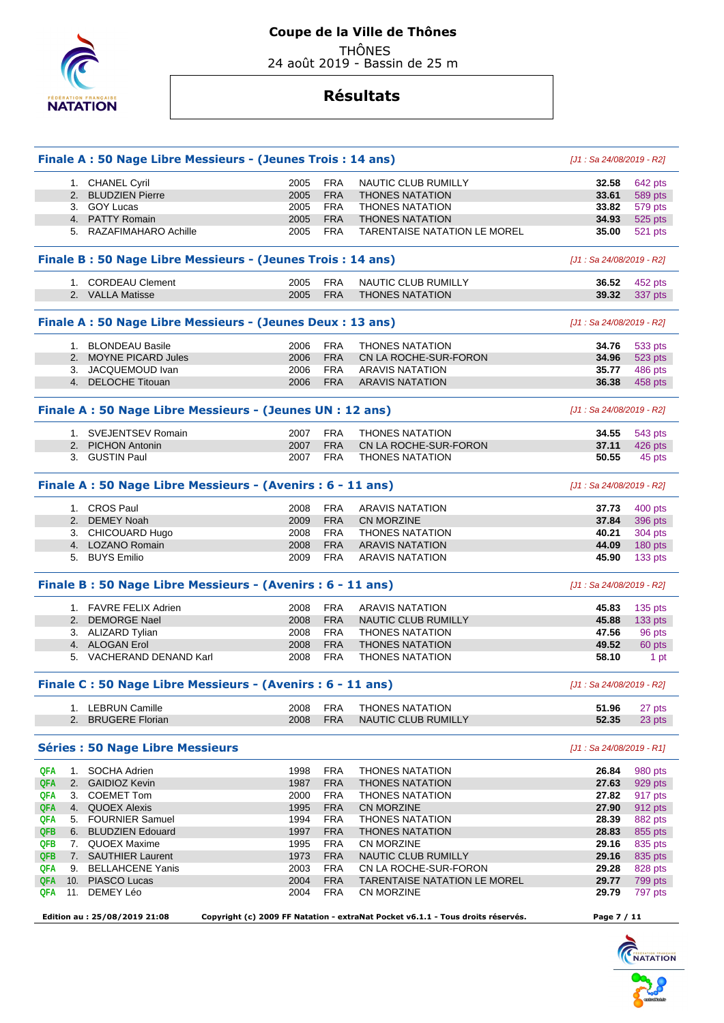

24 août 2019 - Bassin de 25 m

|            | Finale A : 50 Nage Libre Messieurs - (Jeunes Trois : 14 ans) |              |                   |                                                                                 | [J1 : Sa 24/08/2019 - R2]  |                  |
|------------|--------------------------------------------------------------|--------------|-------------------|---------------------------------------------------------------------------------|----------------------------|------------------|
|            | 1. CHANEL Cyril                                              | 2005         | <b>FRA</b>        | NAUTIC CLUB RUMILLY                                                             | 32.58                      | 642 pts          |
|            | 2. BLUDZIEN Pierre                                           | 2005         | <b>FRA</b>        | <b>THONES NATATION</b>                                                          | 33.61                      | 589 pts          |
|            | 3. GOY Lucas                                                 | 2005         | <b>FRA</b>        | <b>THONES NATATION</b>                                                          | 33.82                      | 579 pts          |
|            | 4. PATTY Romain                                              | 2005         | <b>FRA</b>        | <b>THONES NATATION</b>                                                          | 34.93                      | 525 pts          |
|            | 5. RAZAFIMAHARO Achille                                      | 2005         | FRA               | <b>TARENTAISE NATATION LE MOREL</b>                                             | 35.00                      | 521 pts          |
|            |                                                              |              |                   |                                                                                 |                            |                  |
|            | Finale B: 50 Nage Libre Messieurs - (Jeunes Trois: 14 ans)   |              |                   |                                                                                 | [J1 : Sa 24/08/2019 - R2]  |                  |
|            | 1. CORDEAU Clement                                           | 2005         | <b>FRA</b>        | <b>NAUTIC CLUB RUMILLY</b>                                                      | 36.52                      | 452 pts          |
|            | 2. VALLA Matisse                                             | 2005         | <b>FRA</b>        | <b>THONES NATATION</b>                                                          | 39.32                      | 337 pts          |
|            | Finale A : 50 Nage Libre Messieurs - (Jeunes Deux : 13 ans)  |              |                   |                                                                                 | [J1 : Sa 24/08/2019 - R2]  |                  |
|            | 1. BLONDEAU Basile                                           | 2006         | <b>FRA</b>        | <b>THONES NATATION</b>                                                          | 34.76                      | 533 pts          |
|            | 2. MOYNE PICARD Jules                                        | 2006         | <b>FRA</b>        | CN LA ROCHE-SUR-FORON                                                           | 34.96                      | 523 pts          |
|            | 3. JACQUEMOUD Ivan                                           | 2006         | <b>FRA</b>        | <b>ARAVIS NATATION</b>                                                          | 35.77                      | 486 pts          |
|            | 4. DELOCHE Titouan                                           | 2006         | <b>FRA</b>        | <b>ARAVIS NATATION</b>                                                          | 36.38                      | 458 pts          |
|            | Finale A : 50 Nage Libre Messieurs - (Jeunes UN : 12 ans)    |              |                   |                                                                                 | [J1 : Sa 24/08/2019 - R2]  |                  |
|            | 1. SVEJENTSEV Romain                                         | 2007         | <b>FRA</b>        | <b>THONES NATATION</b>                                                          | 34.55                      | 543 pts          |
|            | 2. PICHON Antonin                                            | 2007         | <b>FRA</b>        | CN LA ROCHE-SUR-FORON                                                           | 37.11                      | 426 pts          |
|            | 3. GUSTIN Paul                                               | 2007         | FRA               | <b>THONES NATATION</b>                                                          | 50.55                      | 45 pts           |
|            |                                                              |              |                   |                                                                                 |                            |                  |
|            | Finale A : 50 Nage Libre Messieurs - (Avenirs : 6 - 11 ans)  |              |                   |                                                                                 | [J1 : Sa 24/08/2019 - R2]  |                  |
|            | 1. CROS Paul                                                 | 2008         | <b>FRA</b>        | <b>ARAVIS NATATION</b>                                                          | 37.73                      | 400 pts          |
|            | 2. DEMEY Noah                                                | 2009         | <b>FRA</b>        | CN MORZINE                                                                      | 37.84                      | 396 pts          |
|            | 3. CHICOUARD Hugo                                            | 2008         | <b>FRA</b>        | <b>THONES NATATION</b>                                                          | 40.21                      | 304 pts          |
|            | 4. LOZANO Romain                                             | 2008         | <b>FRA</b>        | <b>ARAVIS NATATION</b>                                                          | 44.09                      | 180 pts          |
|            | 5. BUYS Emilio                                               | 2009         | <b>FRA</b>        | <b>ARAVIS NATATION</b>                                                          | 45.90                      | 133 pts          |
|            | Finale B: 50 Nage Libre Messieurs - (Avenirs: 6 - 11 ans)    |              |                   |                                                                                 | [J1 : Sa 24/08/2019 - R2]  |                  |
|            | 1. FAVRE FELIX Adrien                                        | 2008         | <b>FRA</b>        | <b>ARAVIS NATATION</b>                                                          | 45.83                      | 135 pts          |
|            | 2. DEMORGE Nael                                              | 2008         | <b>FRA</b>        | <b>NAUTIC CLUB RUMILLY</b>                                                      | 45.88                      | 133 pts          |
|            | 3. ALIZARD Tylian                                            | 2008         | <b>FRA</b>        | <b>THONES NATATION</b>                                                          | 47.56                      | 96 pts           |
|            | 4. ALOGAN Erol                                               | 2008         | <b>FRA</b>        | <b>THONES NATATION</b>                                                          | 49.52                      | 60 pts           |
|            | 5. VACHERAND DENAND Karl                                     | 2008         | <b>FRA</b>        | <b>THONES NATATION</b>                                                          | 58.10                      | 1 pt             |
|            | Finale C : 50 Nage Libre Messieurs - (Avenirs : 6 - 11 ans)  |              |                   |                                                                                 | [J1 : Sa 24/08/2019 - R2]  |                  |
|            | 1. LEBRUN Camille                                            |              |                   | <b>THONES NATATION</b>                                                          | 51.96                      |                  |
|            | 2. BRUGERE Florian                                           | 2008<br>2008 | FRA<br><b>FRA</b> | NAUTIC CLUB RUMILLY                                                             | 52.35                      | 27 pts<br>23 pts |
|            |                                                              |              |                   |                                                                                 |                            |                  |
|            | <b>Séries : 50 Nage Libre Messieurs</b>                      |              |                   |                                                                                 | $[J1: Sa 24/08/2019 - R1]$ |                  |
| QFA        | 1. SOCHA Adrien                                              | 1998         | <b>FRA</b>        | <b>THONES NATATION</b>                                                          | 26.84                      | 980 pts          |
| QFA        | 2. GAIDIOZ Kevin                                             | 1987         | <b>FRA</b>        | <b>THONES NATATION</b>                                                          | 27.63                      | 929 pts          |
| QFA        | 3. COEMET Tom                                                | 2000         | <b>FRA</b>        | <b>THONES NATATION</b>                                                          | 27.82                      | 917 pts          |
| QFA        | 4. QUOEX Alexis                                              | 1995         | <b>FRA</b>        | <b>CN MORZINE</b>                                                               | 27.90                      | 912 pts          |
| QFA        | 5. FOURNIER Samuel                                           | 1994         | <b>FRA</b>        | <b>THONES NATATION</b>                                                          | 28.39                      | 882 pts          |
| <b>QFB</b> | 6. BLUDZIEN Edouard                                          | 1997         | <b>FRA</b>        | <b>THONES NATATION</b>                                                          | 28.83                      | 855 pts          |
| QFB        | 7. QUOEX Maxime                                              | 1995         | <b>FRA</b>        | CN MORZINE                                                                      | 29.16                      | 835 pts          |
| QFB        | 7. SAUTHIER Laurent                                          | 1973         | <b>FRA</b>        | NAUTIC CLUB RUMILLY                                                             | 29.16                      | 835 pts          |
| QFA        | 9. BELLAHCENE Yanis                                          | 2003         | <b>FRA</b>        | CN LA ROCHE-SUR-FORON                                                           | 29.28                      | 828 pts          |
| QFA        | 10. PIASCO Lucas                                             | 2004         | <b>FRA</b>        | TARENTAISE NATATION LE MOREL                                                    | 29.77                      | 799 pts          |
| QFA        | 11. DEMEY Léo                                                | 2004         | <b>FRA</b>        | CN MORZINE                                                                      | 29.79                      | 797 pts          |
|            | Edition au: 25/08/2019 21:08                                 |              |                   | Copyright (c) 2009 FF Natation - extraNat Pocket v6.1.1 - Tous droits réservés. | Page 7 / 11                |                  |



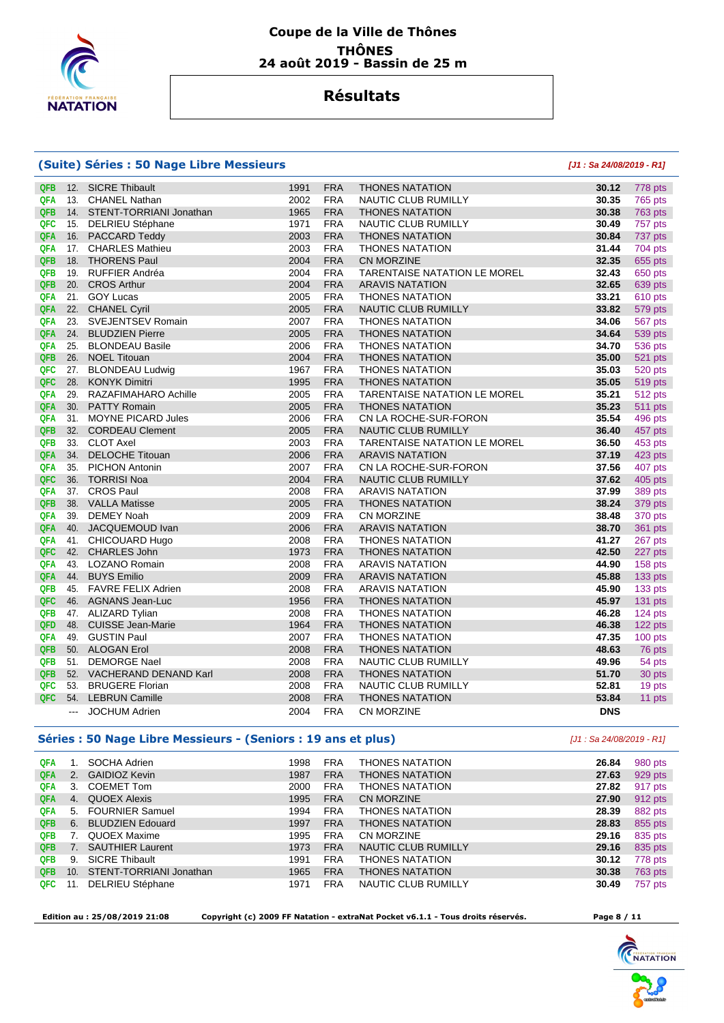

### **Résultats**

#### **(Suite) Séries : 50 Nage Libre Messieurs [J1 : Sa 24/08/2019 - R1]**

| <b>QFB</b> | 12.    | <b>SICRE Thibault</b>     | 1991 | <b>FRA</b> | <b>THONES NATATION</b>              | 30.12      | 778 pts        |
|------------|--------|---------------------------|------|------------|-------------------------------------|------------|----------------|
| QFA        | 13.    | <b>CHANEL Nathan</b>      | 2002 | <b>FRA</b> | NAUTIC CLUB RUMILLY                 | 30.35      | 765 pts        |
| <b>QFB</b> | 14.    | STENT-TORRIANI Jonathan   | 1965 | <b>FRA</b> | <b>THONES NATATION</b>              | 30.38      | <b>763 pts</b> |
| QFC        | 15.    | <b>DELRIEU Stéphane</b>   | 1971 | <b>FRA</b> | <b>NAUTIC CLUB RUMILLY</b>          | 30.49      | 757 pts        |
| QFA        | 16.    | PACCARD Teddy             | 2003 | <b>FRA</b> | <b>THONES NATATION</b>              | 30.84      | 737 pts        |
| <b>QFA</b> | 17.    | <b>CHARLES Mathieu</b>    | 2003 | <b>FRA</b> | <b>THONES NATATION</b>              | 31.44      | 704 pts        |
| QFB        | 18.    | <b>THORENS Paul</b>       | 2004 | <b>FRA</b> | <b>CN MORZINE</b>                   | 32.35      | 655 pts        |
| QFB        | 19.    | <b>RUFFIER Andréa</b>     | 2004 | <b>FRA</b> | <b>TARENTAISE NATATION LE MOREL</b> | 32.43      | 650 pts        |
| <b>QFB</b> | 20.    | <b>CROS Arthur</b>        | 2004 | <b>FRA</b> | <b>ARAVIS NATATION</b>              | 32.65      | 639 pts        |
| <b>QFA</b> | 21.    | <b>GOY Lucas</b>          | 2005 | <b>FRA</b> | <b>THONES NATATION</b>              | 33.21      | 610 pts        |
| QFA        | 22.    | <b>CHANEL Cyril</b>       | 2005 | <b>FRA</b> | <b>NAUTIC CLUB RUMILLY</b>          | 33.82      | 579 pts        |
| <b>QFA</b> | 23.    | <b>SVEJENTSEV Romain</b>  | 2007 | <b>FRA</b> | <b>THONES NATATION</b>              | 34.06      | 567 pts        |
| <b>QFA</b> | 24.    | <b>BLUDZIEN Pierre</b>    | 2005 | <b>FRA</b> | <b>THONES NATATION</b>              | 34.64      | 539 pts        |
| <b>QFA</b> | 25.    | <b>BLONDEAU Basile</b>    | 2006 | <b>FRA</b> | <b>THONES NATATION</b>              | 34.70      | 536 pts        |
| <b>QFB</b> | 26.    | <b>NOEL Titouan</b>       | 2004 | <b>FRA</b> | <b>THONES NATATION</b>              | 35.00      | 521 pts        |
| QFC        | 27.    | <b>BLONDEAU Ludwig</b>    | 1967 | <b>FRA</b> | <b>THONES NATATION</b>              | 35.03      | 520 pts        |
| QFC        | 28.    | <b>KONYK Dimitri</b>      | 1995 | <b>FRA</b> | <b>THONES NATATION</b>              | 35.05      | <b>519 pts</b> |
| <b>QFA</b> | 29.    | RAZAFIMAHARO Achille      | 2005 | <b>FRA</b> | <b>TARENTAISE NATATION LE MOREL</b> | 35.21      | 512 pts        |
| <b>QFA</b> | 30.    | <b>PATTY Romain</b>       | 2005 | <b>FRA</b> | <b>THONES NATATION</b>              | 35.23      | <b>511 pts</b> |
| <b>QFA</b> | 31.    | <b>MOYNE PICARD Jules</b> | 2006 | <b>FRA</b> | CN LA ROCHE-SUR-FORON               | 35.54      | 496 pts        |
| <b>QFB</b> | 32.    | <b>CORDEAU Clement</b>    | 2005 | <b>FRA</b> | NAUTIC CLUB RUMILLY                 | 36.40      | 457 pts        |
| QFB        | 33.    | <b>CLOT Axel</b>          | 2003 | <b>FRA</b> | TARENTAISE NATATION LE MOREL        | 36.50      | 453 pts        |
| QFA        | 34.    | <b>DELOCHE Titouan</b>    | 2006 | <b>FRA</b> | <b>ARAVIS NATATION</b>              | 37.19      | 423 pts        |
| <b>QFA</b> | 35.    | <b>PICHON Antonin</b>     | 2007 | <b>FRA</b> | CN LA ROCHE-SUR-FORON               | 37.56      | 407 pts        |
| QFC        | 36.    | <b>TORRISI Noa</b>        | 2004 | <b>FRA</b> | <b>NAUTIC CLUB RUMILLY</b>          | 37.62      | 405 pts        |
| <b>QFA</b> | 37.    | <b>CROS Paul</b>          | 2008 | <b>FRA</b> | <b>ARAVIS NATATION</b>              | 37.99      | 389 pts        |
| <b>QFB</b> | 38.    | <b>VALLA Matisse</b>      | 2005 | <b>FRA</b> | <b>THONES NATATION</b>              | 38.24      | 379 pts        |
| <b>QFA</b> | 39.    | <b>DEMEY Noah</b>         | 2009 | <b>FRA</b> | CN MORZINE                          | 38.48      | 370 pts        |
| <b>QFA</b> | 40.    | JACQUEMOUD Ivan           | 2006 | <b>FRA</b> | <b>ARAVIS NATATION</b>              | 38.70      | <b>361 pts</b> |
| <b>QFA</b> | 41.    | <b>CHICOUARD Hugo</b>     | 2008 | <b>FRA</b> | <b>THONES NATATION</b>              | 41.27      | 267 pts        |
| QFC        | 42.    | <b>CHARLES John</b>       | 1973 | <b>FRA</b> | <b>THONES NATATION</b>              | 42.50      | 227 pts        |
| <b>QFA</b> |        | 43. LOZANO Romain         | 2008 | <b>FRA</b> | <b>ARAVIS NATATION</b>              | 44.90      | 158 pts        |
| QFA        | 44.    | <b>BUYS Emilio</b>        | 2009 | <b>FRA</b> | <b>ARAVIS NATATION</b>              | 45.88      | 133 pts        |
| QFB        | 45.    | <b>FAVRE FELIX Adrien</b> | 2008 | <b>FRA</b> | <b>ARAVIS NATATION</b>              | 45.90      | 133 pts        |
| QFC        | 46.    | <b>AGNANS Jean-Luc</b>    | 1956 | <b>FRA</b> | <b>THONES NATATION</b>              | 45.97      | 131 pts        |
| <b>QFB</b> | 47.    | <b>ALIZARD Tylian</b>     | 2008 | <b>FRA</b> | <b>THONES NATATION</b>              | 46.28      | 124 pts        |
| QFD        | 48.    | <b>CUISSE Jean-Marie</b>  | 1964 | <b>FRA</b> | <b>THONES NATATION</b>              | 46.38      | 122 pts        |
| <b>QFA</b> | 49.    | <b>GUSTIN Paul</b>        | 2007 | <b>FRA</b> | <b>THONES NATATION</b>              | 47.35      | $100$ pts      |
| <b>QFB</b> | 50.    | <b>ALOGAN Erol</b>        | 2008 | <b>FRA</b> | <b>THONES NATATION</b>              | 48.63      | 76 pts         |
| <b>QFB</b> | 51.    | <b>DEMORGE Nael</b>       | 2008 | <b>FRA</b> | NAUTIC CLUB RUMILLY                 | 49.96      | 54 pts         |
| <b>QFB</b> | 52.    | VACHERAND DENAND Karl     | 2008 | <b>FRA</b> | <b>THONES NATATION</b>              | 51.70      | 30 pts         |
| QFC        | 53.    | <b>BRUGERE Florian</b>    | 2008 | <b>FRA</b> | NAUTIC CLUB RUMILLY                 | 52.81      | 19 pts         |
| QFC        | 54.    | <b>LEBRUN Camille</b>     | 2008 | <b>FRA</b> | <b>THONES NATATION</b>              | 53.84      | 11 pts         |
|            | $\sim$ | <b>JOCHUM Adrien</b>      | 2004 | <b>FRA</b> | <b>CN MORZINE</b>                   | <b>DNS</b> |                |

#### **Séries : 50 Nage Libre Messieurs - (Seniors : 19 ans et plus)** [J1 : Sa 24/08/2019 - R1]

| <b>QFA</b> |                | SOCHA Adrien            | 1998 | <b>FRA</b> | <b>THONES NATATION</b>     | 26.84 | 980 pts |
|------------|----------------|-------------------------|------|------------|----------------------------|-------|---------|
| <b>QFA</b> | 2.             | <b>GAIDIOZ Kevin</b>    | 1987 | <b>FRA</b> | <b>THONES NATATION</b>     | 27.63 | 929 pts |
| <b>QFA</b> | 3.             | <b>COEMET Tom</b>       | 2000 | <b>FRA</b> | <b>THONES NATATION</b>     | 27.82 | 917 pts |
| <b>QFA</b> | 4.             | <b>QUOEX Alexis</b>     | 1995 | <b>FRA</b> | <b>CN MORZINE</b>          | 27.90 | 912 pts |
| <b>QFA</b> | 5.             | <b>FOURNIER Samuel</b>  | 1994 | <b>FRA</b> | <b>THONES NATATION</b>     | 28.39 | 882 pts |
| QFB        | 6.             | <b>BLUDZIEN Edouard</b> | 1997 | <b>FRA</b> | <b>THONES NATATION</b>     | 28.83 | 855 pts |
| <b>QFB</b> | 7.             | QUOEX Maxime            | 1995 | <b>FRA</b> | <b>CN MORZINE</b>          | 29.16 | 835 pts |
| <b>QFB</b> | 7 <sub>1</sub> | <b>SAUTHIER Laurent</b> | 1973 | <b>FRA</b> | <b>NAUTIC CLUB RUMILLY</b> | 29.16 | 835 pts |
| <b>QFB</b> | 9.             | <b>SICRE Thibault</b>   | 1991 | <b>FRA</b> | THONES NATATION            | 30.12 | 778 pts |
| <b>QFB</b> | 10.            | STENT-TORRIANI Jonathan | 1965 | <b>FRA</b> | <b>THONES NATATION</b>     | 30.38 | 763 pts |
| QFC.       | 11             | DELRIEU Stéphane        | 1971 | <b>FRA</b> | NAUTIC CLUB RUMILLY        | 30.49 | 757 pts |

 **Edition au : 25/08/2019 21:08 Copyright (c) 2009 FF Natation - extraNat Pocket v6.1.1 - Tous droits réservés. Page 8 / 11** 

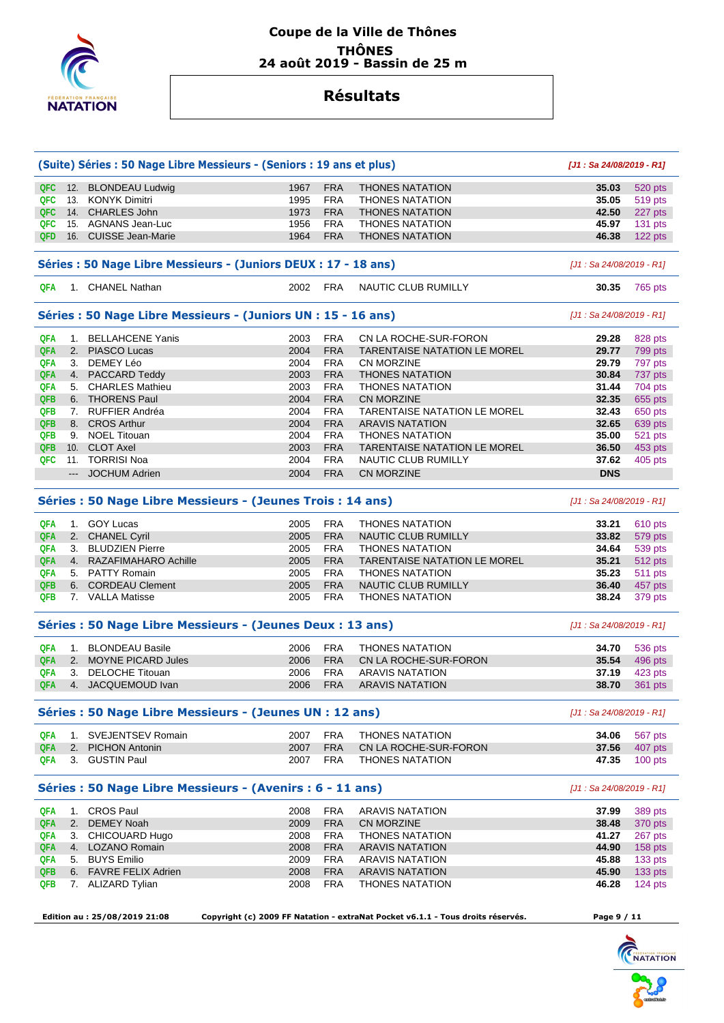

|            | (Suite) Séries : 50 Nage Libre Messieurs - (Seniors : 19 ans et plus) |      |            |                                                                                 | [J1: Sa 24/08/2019 - R1]   |           |
|------------|-----------------------------------------------------------------------|------|------------|---------------------------------------------------------------------------------|----------------------------|-----------|
| QFC        | 12. BLONDEAU Ludwig                                                   | 1967 | <b>FRA</b> | <b>THONES NATATION</b>                                                          | 35.03                      | 520 pts   |
| QFC        | 13. KONYK Dimitri                                                     | 1995 | <b>FRA</b> | <b>THONES NATATION</b>                                                          | 35.05                      | 519 pts   |
| QFC        | 14. CHARLES John                                                      | 1973 | <b>FRA</b> | <b>THONES NATATION</b>                                                          | 42.50                      | 227 pts   |
| QFC        | 15. AGNANS Jean-Luc                                                   | 1956 | <b>FRA</b> | <b>THONES NATATION</b>                                                          | 45.97                      | 131 pts   |
| QFD        | 16. CUISSE Jean-Marie                                                 | 1964 | <b>FRA</b> | <b>THONES NATATION</b>                                                          | 46.38                      | 122 pts   |
|            | Séries : 50 Nage Libre Messieurs - (Juniors DEUX : 17 - 18 ans)       |      |            |                                                                                 | $[J1: Sa 24/08/2019 - R1]$ |           |
| QFA        | 1. CHANEL Nathan                                                      | 2002 | <b>FRA</b> | <b>NAUTIC CLUB RUMILLY</b>                                                      | 30.35                      | 765 pts   |
|            |                                                                       |      |            |                                                                                 |                            |           |
|            | Séries : 50 Nage Libre Messieurs - (Juniors UN : 15 - 16 ans)         |      |            |                                                                                 | [J1 : Sa 24/08/2019 - R1]  |           |
| <b>QFA</b> | 1. BELLAHCENE Yanis                                                   | 2003 | <b>FRA</b> | CN LA ROCHE-SUR-FORON                                                           | 29.28                      | 828 pts   |
| QFA        | 2. PIASCO Lucas                                                       | 2004 | <b>FRA</b> | <b>TARENTAISE NATATION LE MOREL</b>                                             | 29.77                      | 799 pts   |
| QFA        | 3. DEMEY Léo                                                          | 2004 | <b>FRA</b> | CN MORZINE                                                                      | 29.79                      | 797 pts   |
| <b>QFA</b> | 4. PACCARD Teddy                                                      | 2003 | <b>FRA</b> | <b>THONES NATATION</b>                                                          | 30.84                      | 737 pts   |
| QFA        | 5. CHARLES Mathieu                                                    | 2003 | <b>FRA</b> | <b>THONES NATATION</b>                                                          | 31.44                      | 704 pts   |
| <b>QFB</b> | 6. THORENS Paul                                                       | 2004 | <b>FRA</b> | <b>CN MORZINE</b>                                                               | 32.35                      | 655 pts   |
| <b>QFB</b> | 7. RUFFIER Andréa                                                     | 2004 | <b>FRA</b> | <b>TARENTAISE NATATION LE MOREL</b>                                             | 32.43                      | 650 pts   |
| <b>QFB</b> | 8. CROS Arthur                                                        | 2004 | <b>FRA</b> | <b>ARAVIS NATATION</b>                                                          | 32.65                      | 639 pts   |
| QFB        | 9. NOEL Titouan                                                       | 2004 | <b>FRA</b> | <b>THONES NATATION</b>                                                          | 35.00                      | 521 pts   |
| <b>QFB</b> | 10. CLOT Axel                                                         | 2003 | <b>FRA</b> | <b>TARENTAISE NATATION LE MOREL</b>                                             | 36.50                      | 453 pts   |
| QFC        | 11. TORRISI Noa                                                       | 2004 | <b>FRA</b> | NAUTIC CLUB RUMILLY                                                             | 37.62                      | 405 pts   |
|            | --- JOCHUM Adrien                                                     | 2004 | <b>FRA</b> | CN MORZINE                                                                      | <b>DNS</b>                 |           |
|            | Séries : 50 Nage Libre Messieurs - (Jeunes Trois : 14 ans)            |      |            |                                                                                 | [J1: Sa 24/08/2019 - R1]   |           |
| <b>QFA</b> | 1. GOY Lucas                                                          | 2005 | <b>FRA</b> | <b>THONES NATATION</b>                                                          | 33.21                      | 610 pts   |
| QFA        | 2. CHANEL Cyril                                                       | 2005 | <b>FRA</b> | NAUTIC CLUB RUMILLY                                                             | 33.82                      | 579 pts   |
| QFA        | 3. BLUDZIEN Pierre                                                    | 2005 | <b>FRA</b> | <b>THONES NATATION</b>                                                          | 34.64                      | 539 pts   |
| <b>QFA</b> | 4. RAZAFIMAHARO Achille                                               | 2005 | <b>FRA</b> | <b>TARENTAISE NATATION LE MOREL</b>                                             | 35.21                      | 512 pts   |
| <b>QFA</b> | 5. PATTY Romain                                                       | 2005 | <b>FRA</b> | <b>THONES NATATION</b>                                                          | 35.23                      | 511 pts   |
| <b>QFB</b> | 6. CORDEAU Clement                                                    | 2005 | <b>FRA</b> | NAUTIC CLUB RUMILLY                                                             | 36.40                      | 457 pts   |
| QFB        | 7. VALLA Matisse                                                      | 2005 | <b>FRA</b> | <b>THONES NATATION</b>                                                          | 38.24                      | 379 pts   |
|            | Séries : 50 Nage Libre Messieurs - (Jeunes Deux : 13 ans)             |      |            |                                                                                 | $[J1: Sa 24/08/2019 - R1]$ |           |
| <b>QFA</b> | 1. BLONDEAU Basile                                                    | 2006 | <b>FRA</b> | <b>THONES NATATION</b>                                                          | 34.70                      | 536 pts   |
| <b>QFA</b> | 2. MOYNE PICARD Jules                                                 | 2006 | <b>FRA</b> | CN LA ROCHE-SUR-FORON                                                           | 35.54                      | 496 pts   |
| QFA        | 3. DELOCHE Titouan                                                    | 2006 | <b>FRA</b> | <b>ARAVIS NATATION</b>                                                          | 37.19                      | 423 pts   |
| QFA        | 4. JACQUEMOUD Ivan                                                    | 2006 | <b>FRA</b> | <b>ARAVIS NATATION</b>                                                          | 38.70                      | 361 pts   |
|            | Séries : 50 Nage Libre Messieurs - (Jeunes UN : 12 ans)               |      |            |                                                                                 | $[J1: Sa 24/08/2019 - R1]$ |           |
| QFA        | 1. SVEJENTSEV Romain                                                  | 2007 | <b>FRA</b> | <b>THONES NATATION</b>                                                          | 34.06                      | 567 pts   |
| QFA        | 2. PICHON Antonin                                                     | 2007 | <b>FRA</b> | CN LA ROCHE-SUR-FORON                                                           | 37.56                      | 407 pts   |
| QFA        | 3. GUSTIN Paul                                                        | 2007 | FRA        | <b>THONES NATATION</b>                                                          | 47.35                      | $100$ pts |
|            | Séries : 50 Nage Libre Messieurs - (Avenirs : 6 - 11 ans)             |      |            |                                                                                 | [J1: Sa 24/08/2019 - R1]   |           |
| QFA        | 1. CROS Paul                                                          | 2008 | <b>FRA</b> | <b>ARAVIS NATATION</b>                                                          | 37.99                      | 389 pts   |
| <b>QFA</b> | 2. DEMEY Noah                                                         | 2009 | <b>FRA</b> | CN MORZINE                                                                      | 38.48                      | 370 pts   |
| QFA        | 3. CHICOUARD Hugo                                                     | 2008 | <b>FRA</b> | <b>THONES NATATION</b>                                                          | 41.27                      | 267 pts   |
| QFA        | 4. LOZANO Romain                                                      | 2008 | <b>FRA</b> | <b>ARAVIS NATATION</b>                                                          | 44.90                      | 158 pts   |
| QFA        | 5. BUYS Emilio                                                        | 2009 | <b>FRA</b> | ARAVIS NATATION                                                                 | 45.88                      | 133 pts   |
| QFB        | 6. FAVRE FELIX Adrien                                                 | 2008 | <b>FRA</b> | <b>ARAVIS NATATION</b>                                                          | 45.90                      | 133 pts   |
| QFB        | 7. ALIZARD Tylian                                                     | 2008 | <b>FRA</b> | <b>THONES NATATION</b>                                                          | 46.28                      | 124 pts   |
|            |                                                                       |      |            |                                                                                 |                            |           |
|            | Edition au: 25/08/2019 21:08                                          |      |            | Copyright (c) 2009 FF Natation - extraNat Pocket v6.1.1 - Tous droits réservés. | Page 9 / 11                |           |
|            |                                                                       |      |            |                                                                                 |                            |           |

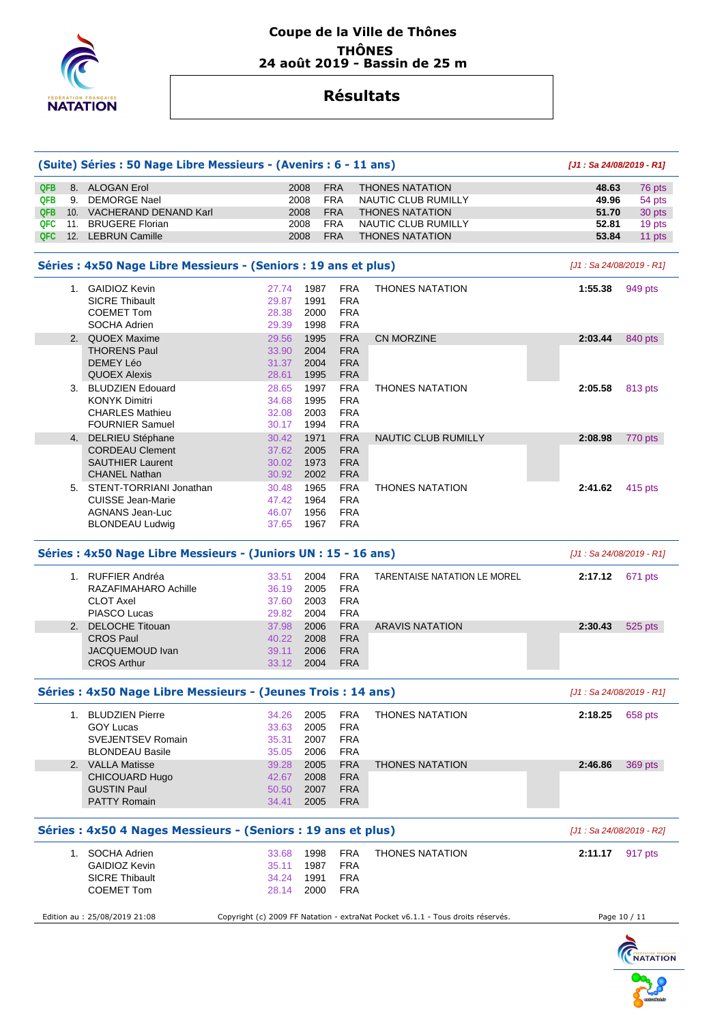

|            | (Suite) Séries : 50 Nage Libre Messieurs - (Avenirs : 6 - 11 ans) |       |      |            |                                                                                 | [J1: Sa 24/08/2019 - R1]   |              |
|------------|-------------------------------------------------------------------|-------|------|------------|---------------------------------------------------------------------------------|----------------------------|--------------|
| <b>QFB</b> | 8. ALOGAN Erol                                                    |       | 2008 | <b>FRA</b> | <b>THONES NATATION</b>                                                          | 48.63                      | 76 pts       |
| QFB        | 9. DEMORGE Nael                                                   |       | 2008 | <b>FRA</b> | NAUTIC CLUB RUMILLY                                                             | 49.96                      | 54 pts       |
| <b>QFB</b> | 10. VACHERAND DENAND Karl                                         |       | 2008 | <b>FRA</b> | <b>THONES NATATION</b>                                                          | 51.70                      | 30 pts       |
| <b>QFC</b> | 11. BRUGERE Florian                                               |       | 2008 | <b>FRA</b> | NAUTIC CLUB RUMILLY                                                             | 52.81                      | 19 pts       |
| <b>QFC</b> | 12. LEBRUN Camille                                                |       | 2008 | <b>FRA</b> | <b>THONES NATATION</b>                                                          | 53.84                      | 11 pts       |
|            |                                                                   |       |      |            |                                                                                 |                            |              |
|            | Séries : 4x50 Nage Libre Messieurs - (Seniors : 19 ans et plus)   |       |      |            |                                                                                 | $[J1: Sa 24/08/2019 - R1]$ |              |
|            | 1. GAIDIOZ Kevin                                                  | 27.74 | 1987 | <b>FRA</b> | <b>THONES NATATION</b>                                                          | 1:55.38                    | 949 pts      |
|            | <b>SICRE Thibault</b>                                             | 29.87 | 1991 | <b>FRA</b> |                                                                                 |                            |              |
|            | <b>COEMET Tom</b>                                                 | 28.38 | 2000 | <b>FRA</b> |                                                                                 |                            |              |
|            | SOCHA Adrien                                                      | 29.39 | 1998 | <b>FRA</b> |                                                                                 |                            |              |
|            | 2. QUOEX Maxime                                                   | 29.56 | 1995 | <b>FRA</b> | <b>CN MORZINE</b>                                                               | 2:03.44                    | 840 pts      |
|            | <b>THORENS Paul</b>                                               | 33.90 | 2004 | <b>FRA</b> |                                                                                 |                            |              |
|            | DEMEY Léo                                                         | 31.37 | 2004 | <b>FRA</b> |                                                                                 |                            |              |
|            | <b>QUOEX Alexis</b>                                               | 28.61 | 1995 | <b>FRA</b> |                                                                                 |                            |              |
|            |                                                                   |       |      |            |                                                                                 |                            |              |
|            | 3. BLUDZIEN Edouard                                               | 28.65 | 1997 | <b>FRA</b> | <b>THONES NATATION</b>                                                          | 2:05.58                    | 813 pts      |
|            | <b>KONYK Dimitri</b>                                              | 34.68 | 1995 | <b>FRA</b> |                                                                                 |                            |              |
|            | <b>CHARLES Mathieu</b>                                            | 32.08 | 2003 | <b>FRA</b> |                                                                                 |                            |              |
|            | <b>FOURNIER Samuel</b>                                            | 30.17 | 1994 | <b>FRA</b> |                                                                                 |                            |              |
|            | 4. DELRIEU Stéphane                                               | 30.42 | 1971 | <b>FRA</b> | NAUTIC CLUB RUMILLY                                                             | 2:08.98                    | 770 pts      |
|            | <b>CORDEAU Clement</b>                                            | 37.62 | 2005 | <b>FRA</b> |                                                                                 |                            |              |
|            | <b>SAUTHIER Laurent</b>                                           | 30.02 | 1973 | <b>FRA</b> |                                                                                 |                            |              |
|            | <b>CHANEL Nathan</b>                                              | 30.92 | 2002 | <b>FRA</b> |                                                                                 |                            |              |
|            | 5. STENT-TORRIANI Jonathan                                        | 30.48 | 1965 | <b>FRA</b> | <b>THONES NATATION</b>                                                          | 2:41.62                    | 415 pts      |
|            | <b>CUISSE Jean-Marie</b>                                          | 47.42 | 1964 | <b>FRA</b> |                                                                                 |                            |              |
|            | AGNANS Jean-Luc                                                   | 46.07 | 1956 | <b>FRA</b> |                                                                                 |                            |              |
|            |                                                                   |       |      |            |                                                                                 |                            |              |
|            | <b>BLONDEAU Ludwig</b>                                            | 37.65 | 1967 | <b>FRA</b> |                                                                                 |                            |              |
|            | Séries : 4x50 Nage Libre Messieurs - (Juniors UN : 15 - 16 ans)   |       |      |            |                                                                                 | $[J1: Sa 24/08/2019 - R1]$ |              |
|            | 1. RUFFIER Andréa                                                 | 33.51 | 2004 | <b>FRA</b> | TARENTAISE NATATION LE MOREL                                                    | 2:17.12                    | 671 pts      |
|            | RAZAFIMAHARO Achille                                              | 36.19 | 2005 | <b>FRA</b> |                                                                                 |                            |              |
|            | <b>CLOT Axel</b>                                                  | 37.60 | 2003 | <b>FRA</b> |                                                                                 |                            |              |
|            | PIASCO Lucas                                                      | 29.82 | 2004 | <b>FRA</b> |                                                                                 |                            |              |
|            | 2. DELOCHE Titouan                                                | 37.98 | 2006 | <b>FRA</b> | <b>ARAVIS NATATION</b>                                                          | 2:30.43                    | 525 pts      |
|            | <b>CROS Paul</b>                                                  | 40.22 | 2008 | <b>FRA</b> |                                                                                 |                            |              |
|            |                                                                   |       |      |            |                                                                                 |                            |              |
|            | JACQUEMOUD Ivan                                                   | 39.11 | 2006 | <b>FRA</b> |                                                                                 |                            |              |
|            | <b>CROS Arthur</b>                                                | 33.12 | 2004 | <b>FRA</b> |                                                                                 |                            |              |
|            | Séries : 4x50 Nage Libre Messieurs - (Jeunes Trois : 14 ans)      |       |      |            |                                                                                 | $[J1: Sa 24/08/2019 - R1]$ |              |
|            | 1. BLUDZIEN Pierre                                                | 34.26 | 2005 | <b>FRA</b> | <b>THONES NATATION</b>                                                          | 2:18.25                    | 658 pts      |
|            | <b>GOY Lucas</b>                                                  | 33.63 | 2005 | <b>FRA</b> |                                                                                 |                            |              |
|            | <b>SVEJENTSEV Romain</b>                                          | 35.31 | 2007 | <b>FRA</b> |                                                                                 |                            |              |
|            | <b>BLONDEAU Basile</b>                                            | 35.05 | 2006 | <b>FRA</b> |                                                                                 |                            |              |
|            |                                                                   |       |      |            | <b>THONES NATATION</b>                                                          |                            |              |
|            | 2. VALLA Matisse                                                  | 39.28 | 2005 | <b>FRA</b> |                                                                                 | 2:46.86                    | 369 pts      |
|            | <b>CHICOUARD Hugo</b>                                             | 42.67 | 2008 | <b>FRA</b> |                                                                                 |                            |              |
|            | <b>GUSTIN Paul</b>                                                | 50.50 | 2007 | <b>FRA</b> |                                                                                 |                            |              |
|            | <b>PATTY Romain</b>                                               | 34.41 | 2005 | <b>FRA</b> |                                                                                 |                            |              |
|            | Séries : 4x50 4 Nages Messieurs - (Seniors : 19 ans et plus)      |       |      |            |                                                                                 | [J1 : Sa 24/08/2019 - R2]  |              |
|            | 1. SOCHA Adrien                                                   | 33.68 | 1998 | <b>FRA</b> | <b>THONES NATATION</b>                                                          | 2:11.17 917 pts            |              |
|            | <b>GAIDIOZ Kevin</b>                                              | 35.11 | 1987 | <b>FRA</b> |                                                                                 |                            |              |
|            |                                                                   |       |      |            |                                                                                 |                            |              |
|            | <b>SICRE Thibault</b>                                             | 34.24 | 1991 | <b>FRA</b> |                                                                                 |                            |              |
|            | <b>COEMET Tom</b>                                                 | 28.14 | 2000 | <b>FRA</b> |                                                                                 |                            |              |
|            | Edition au : 25/08/2019 21:08                                     |       |      |            | Copyright (c) 2009 FF Natation - extraNat Pocket v6.1.1 - Tous droits réservés. |                            | Page 10 / 11 |
|            |                                                                   |       |      |            |                                                                                 |                            |              |